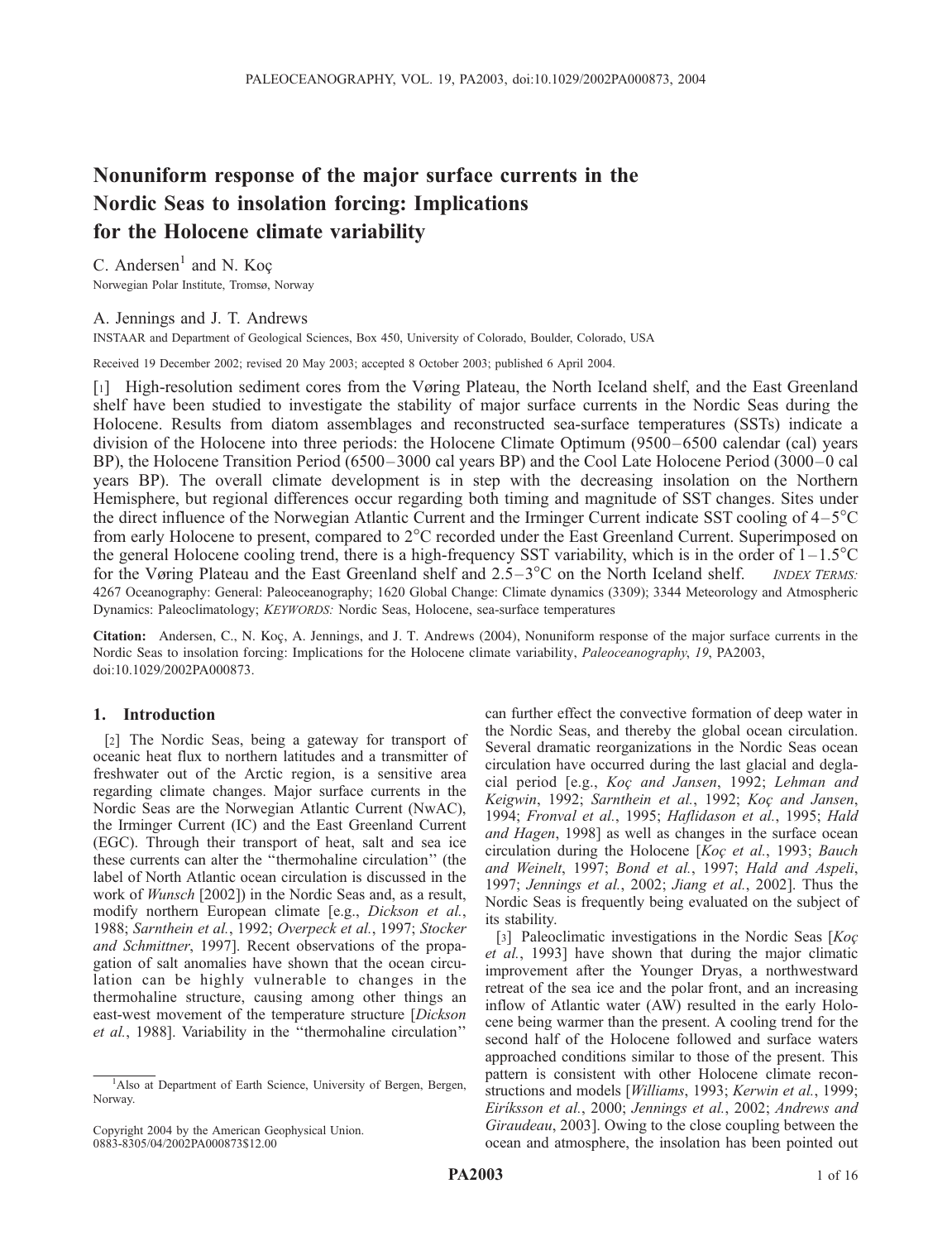# Nonuniform response of the major surface currents in the Nordic Seas to insolation forcing: Implications for the Holocene climate variability

C. Andersen $<sup>1</sup>$  and N. Koc</sup> Norwegian Polar Institute, Tromsø, Norway

# A. Jennings and J. T. Andrews

INSTAAR and Department of Geological Sciences, Box 450, University of Colorado, Boulder, Colorado, USA

Received 19 December 2002; revised 20 May 2003; accepted 8 October 2003; published 6 April 2004.

[1] High-resolution sediment cores from the Vøring Plateau, the North Iceland shelf, and the East Greenland shelf have been studied to investigate the stability of major surface currents in the Nordic Seas during the Holocene. Results from diatom assemblages and reconstructed sea-surface temperatures (SSTs) indicate a division of the Holocene into three periods: the Holocene Climate Optimum (9500–6500 calendar (cal) years BP), the Holocene Transition Period (6500–3000 cal years BP) and the Cool Late Holocene Period (3000–0 cal years BP). The overall climate development is in step with the decreasing insolation on the Northern Hemisphere, but regional differences occur regarding both timing and magnitude of SST changes. Sites under the direct influence of the Norwegian Atlantic Current and the Irminger Current indicate SST cooling of 4–5C from early Holocene to present, compared to 2<sup>o</sup>C recorded under the East Greenland Current. Superimposed on the general Holocene cooling trend, there is a high-frequency SST variability, which is in the order of  $1-1.5^{\circ}\text{C}$ for the Vøring Plateau and the East Greenland shelf and  $2.5-3^{\circ}\text{C}$  on the North Iceland shelf. *INDEX TERMS:* 4267 Oceanography: General: Paleoceanography; 1620 Global Change: Climate dynamics (3309); 3344 Meteorology and Atmospheric Dynamics: Paleoclimatology; KEYWORDS: Nordic Seas, Holocene, sea-surface temperatures

Citation: Andersen, C., N. Koç, A. Jennings, and J. T. Andrews (2004), Nonuniform response of the major surface currents in the Nordic Seas to insolation forcing: Implications for the Holocene climate variability, Paleoceanography, 19, PA2003, doi:10.1029/2002PA000873.

## 1. Introduction

[2] The Nordic Seas, being a gateway for transport of oceanic heat flux to northern latitudes and a transmitter of freshwater out of the Arctic region, is a sensitive area regarding climate changes. Major surface currents in the Nordic Seas are the Norwegian Atlantic Current (NwAC), the Irminger Current (IC) and the East Greenland Current (EGC). Through their transport of heat, salt and sea ice these currents can alter the ''thermohaline circulation'' (the label of North Atlantic ocean circulation is discussed in the work of Wunsch [2002]) in the Nordic Seas and, as a result, modify northern European climate [e.g., Dickson et al., 1988; Sarnthein et al., 1992; Overpeck et al., 1997; Stocker and Schmittner, 1997]. Recent observations of the propagation of salt anomalies have shown that the ocean circulation can be highly vulnerable to changes in the thermohaline structure, causing among other things an east-west movement of the temperature structure [Dickson] et al., 1988]. Variability in the ''thermohaline circulation''

Copyright 2004 by the American Geophysical Union. 0883-8305/04/2002PA000873\$12.00

can further effect the convective formation of deep water in the Nordic Seas, and thereby the global ocean circulation. Several dramatic reorganizations in the Nordic Seas ocean circulation have occurred during the last glacial and deglacial period [e.g., Koç and Jansen, 1992; Lehman and Keigwin, 1992; Sarnthein et al., 1992; Koç and Jansen, 1994; Fronval et al., 1995; Haflidason et al., 1995; Hald and Hagen, 1998] as well as changes in the surface ocean circulation during the Holocene [ $Ko\varsigma$  et al., 1993; Bauch and Weinelt, 1997; Bond et al., 1997; Hald and Aspeli, 1997; Jennings et al., 2002; Jiang et al., 2002]. Thus the Nordic Seas is frequently being evaluated on the subject of its stability.

[3] Paleoclimatic investigations in the Nordic Seas  $[Ko\epsilon]$ et al., 1993] have shown that during the major climatic improvement after the Younger Dryas, a northwestward retreat of the sea ice and the polar front, and an increasing inflow of Atlantic water (AW) resulted in the early Holocene being warmer than the present. A cooling trend for the second half of the Holocene followed and surface waters approached conditions similar to those of the present. This pattern is consistent with other Holocene climate reconstructions and models [Williams, 1993; Kerwin et al., 1999; Eiriksson et al., 2000; Jennings et al., 2002; Andrews and Giraudeau, 2003]. Owing to the close coupling between the ocean and atmosphere, the insolation has been pointed out

<sup>&</sup>lt;sup>1</sup>Also at Department of Earth Science, University of Bergen, Bergen, Norway.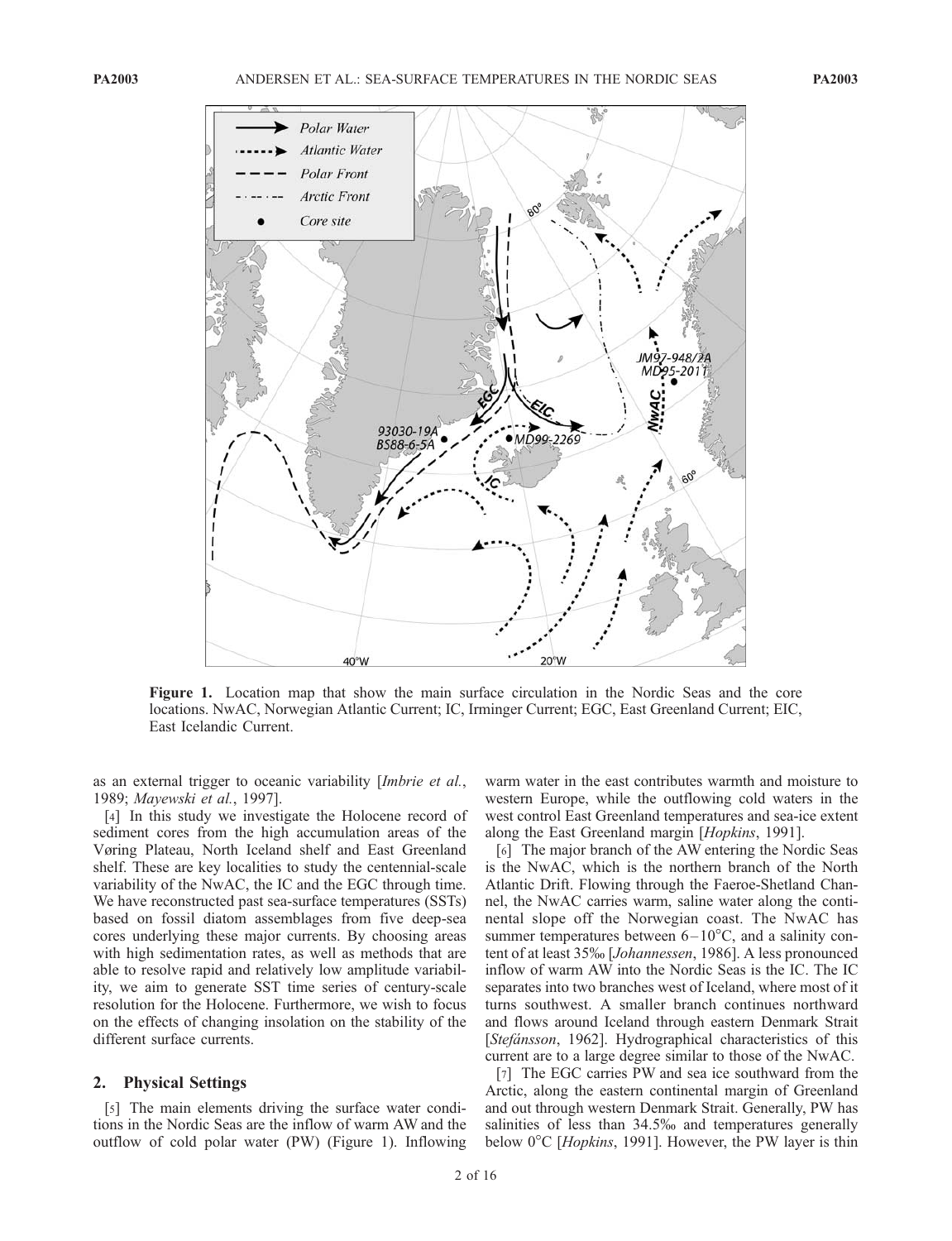

Figure 1. Location map that show the main surface circulation in the Nordic Seas and the core locations. NwAC, Norwegian Atlantic Current; IC, Irminger Current; EGC, East Greenland Current; EIC, East Icelandic Current.

as an external trigger to oceanic variability [Imbrie et al., 1989; Mayewski et al., 1997].

[4] In this study we investigate the Holocene record of sediment cores from the high accumulation areas of the Vøring Plateau, North Iceland shelf and East Greenland shelf. These are key localities to study the centennial-scale variability of the NwAC, the IC and the EGC through time. We have reconstructed past sea-surface temperatures (SSTs) based on fossil diatom assemblages from five deep-sea cores underlying these major currents. By choosing areas with high sedimentation rates, as well as methods that are able to resolve rapid and relatively low amplitude variability, we aim to generate SST time series of century-scale resolution for the Holocene. Furthermore, we wish to focus on the effects of changing insolation on the stability of the different surface currents.

#### 2. Physical Settings

[5] The main elements driving the surface water conditions in the Nordic Seas are the inflow of warm AW and the outflow of cold polar water (PW) (Figure 1). Inflowing warm water in the east contributes warmth and moisture to western Europe, while the outflowing cold waters in the west control East Greenland temperatures and sea-ice extent along the East Greenland margin [Hopkins, 1991].

[6] The major branch of the AW entering the Nordic Seas is the NwAC, which is the northern branch of the North Atlantic Drift. Flowing through the Faeroe-Shetland Channel, the NwAC carries warm, saline water along the continental slope off the Norwegian coast. The NwAC has summer temperatures between  $6-10^{\circ}$ C, and a salinity content of at least 35% [Johannessen, 1986]. A less pronounced inflow of warm AW into the Nordic Seas is the IC. The IC separates into two branches west of Iceland, where most of it turns southwest. A smaller branch continues northward and flows around Iceland through eastern Denmark Strait [Stefánsson, 1962]. Hydrographical characteristics of this current are to a large degree similar to those of the NwAC.

[7] The EGC carries PW and sea ice southward from the Arctic, along the eastern continental margin of Greenland and out through western Denmark Strait. Generally, PW has salinities of less than 34.5% and temperatures generally below  $0^{\circ}$ C [*Hopkins*, 1991]. However, the PW layer is thin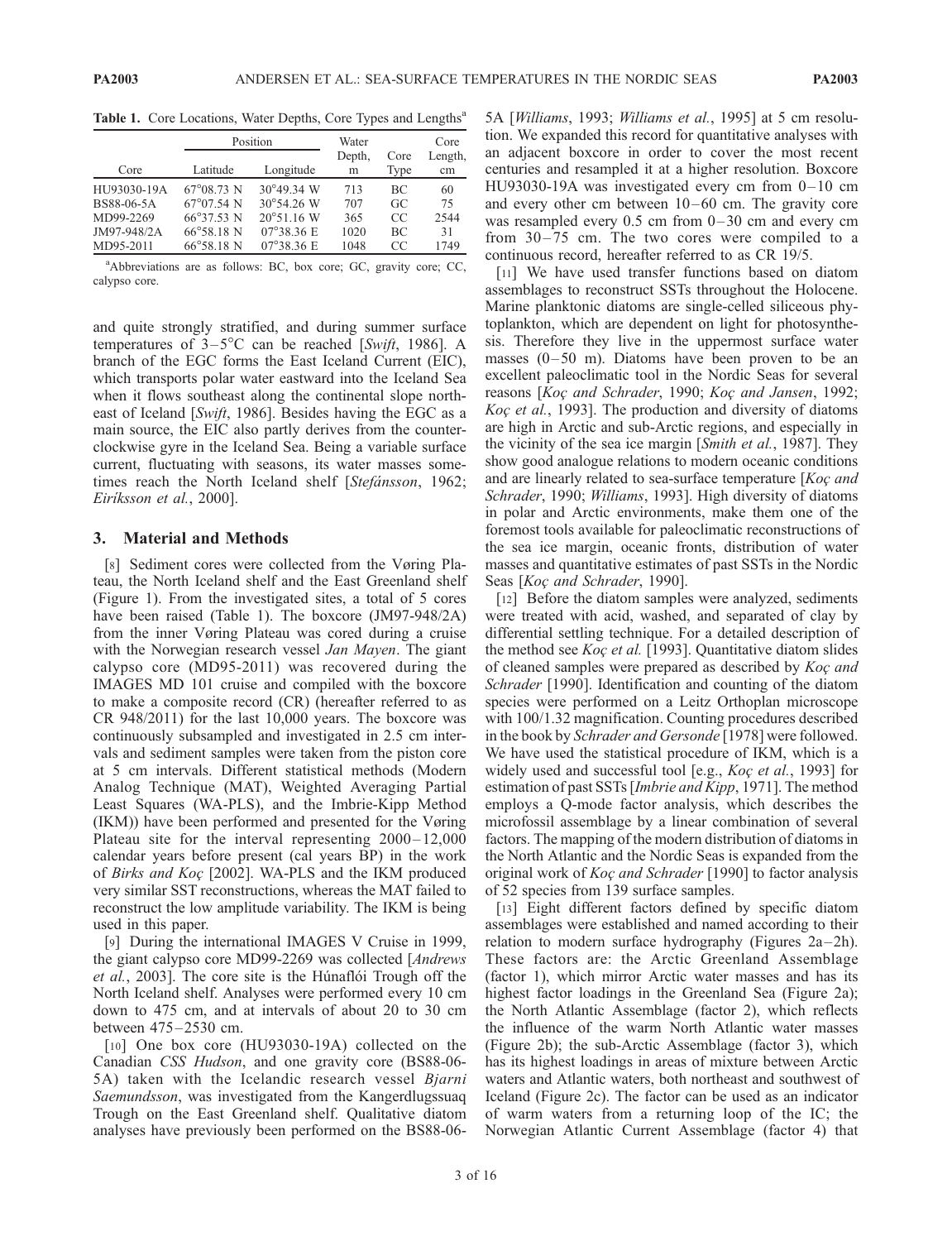Table 1. Core Locations, Water Depths, Core Types and Lengths<sup>a</sup>

|             | Position            |                             | Water  |           | Core    |
|-------------|---------------------|-----------------------------|--------|-----------|---------|
|             |                     |                             | Depth, | Core      | Length, |
| Core        | Latitude            | Longitude                   | m      | Type      | cm      |
| HU93030-19A | $67^{\circ}08.73$ N | $30^{\circ}49.34$ W         | 713    | <b>BC</b> | 60      |
| BS88-06-5A  | $67^{\circ}07.54$ N | $30^{\circ}54.26$ W         | 707    | GC        | 75      |
| MD99-2269   | 66°37.53 N          | $20^{\circ}51.16$ W         | 365    | CC        | 2544    |
| JM97-948/2A | $66^{\circ}58.18$ N | $07^{\circ}38.36 \text{ E}$ | 1020   | <b>BC</b> | 31      |
| MD95-2011   | $66^{\circ}58.18$ N | $07^{\circ}38.36 \text{ E}$ | 1048   | CC        | 1749    |

a Abbreviations are as follows: BC, box core; GC, gravity core; CC, calypso core.

and quite strongly stratified, and during summer surface temperatures of  $3-5^{\circ}$ C can be reached [Swift, 1986]. A branch of the EGC forms the East Iceland Current (EIC), which transports polar water eastward into the Iceland Sea when it flows southeast along the continental slope northeast of Iceland [Swift, 1986]. Besides having the EGC as a main source, the EIC also partly derives from the counterclockwise gyre in the Iceland Sea. Being a variable surface current, fluctuating with seasons, its water masses sometimes reach the North Iceland shelf [Stefánsson, 1962; Eiríksson et al., 2000].

## 3. Material and Methods

[8] Sediment cores were collected from the Vøring Plateau, the North Iceland shelf and the East Greenland shelf (Figure 1). From the investigated sites, a total of 5 cores have been raised (Table 1). The boxcore (JM97-948/2A) from the inner Vøring Plateau was cored during a cruise with the Norwegian research vessel *Jan Mayen*. The giant calypso core (MD95-2011) was recovered during the IMAGES MD 101 cruise and compiled with the boxcore to make a composite record (CR) (hereafter referred to as CR 948/2011) for the last 10,000 years. The boxcore was continuously subsampled and investigated in 2.5 cm intervals and sediment samples were taken from the piston core at 5 cm intervals. Different statistical methods (Modern Analog Technique (MAT), Weighted Averaging Partial Least Squares (WA-PLS), and the Imbrie-Kipp Method (IKM)) have been performed and presented for the Vøring Plateau site for the interval representing  $2000 - 12{,}000$ calendar years before present (cal years BP) in the work of Birks and  $Ko\varsigma$  [2002]. WA-PLS and the IKM produced very similar SST reconstructions, whereas the MAT failed to reconstruct the low amplitude variability. The IKM is being used in this paper.

[9] During the international IMAGES V Cruise in 1999, the giant calypso core MD99-2269 was collected [Andrews et al., 2003]. The core site is the Húnaflói Trough off the North Iceland shelf. Analyses were performed every 10 cm down to 475 cm, and at intervals of about 20 to 30 cm between 475 –2530 cm.

[10] One box core (HU93030-19A) collected on the Canadian CSS Hudson, and one gravity core (BS88-06- 5A) taken with the Icelandic research vessel Bjarni Saemundsson, was investigated from the Kangerdlugssuaq Trough on the East Greenland shelf. Qualitative diatom analyses have previously been performed on the BS88-065A [Williams, 1993; Williams et al., 1995] at 5 cm resolution. We expanded this record for quantitative analyses with an adjacent boxcore in order to cover the most recent centuries and resampled it at a higher resolution. Boxcore HU93030-19A was investigated every cm from 0– 10 cm and every other cm between  $10-60$  cm. The gravity core was resampled every  $0.5$  cm from  $0-30$  cm and every cm from  $30-75$  cm. The two cores were compiled to a continuous record, hereafter referred to as CR 19/5.

[11] We have used transfer functions based on diatom assemblages to reconstruct SSTs throughout the Holocene. Marine planktonic diatoms are single-celled siliceous phytoplankton, which are dependent on light for photosynthesis. Therefore they live in the uppermost surface water masses  $(0-50 \text{ m})$ . Diatoms have been proven to be an excellent paleoclimatic tool in the Nordic Seas for several reasons [Koç and Schrader, 1990; Koç and Jansen, 1992; Koc et al., 1993]. The production and diversity of diatoms are high in Arctic and sub-Arctic regions, and especially in the vicinity of the sea ice margin [Smith et al., 1987]. They show good analogue relations to modern oceanic conditions and are linearly related to sea-surface temperature  $[Ko\varphi]$  and Schrader, 1990; Williams, 1993]. High diversity of diatoms in polar and Arctic environments, make them one of the foremost tools available for paleoclimatic reconstructions of the sea ice margin, oceanic fronts, distribution of water masses and quantitative estimates of past SSTs in the Nordic Seas [Koç and Schrader, 1990].

[12] Before the diatom samples were analyzed, sediments were treated with acid, washed, and separated of clay by differential settling technique. For a detailed description of the method see  $Kog$  et al. [1993]. Quantitative diatom slides of cleaned samples were prepared as described by  $K$ oc and Schrader [1990]. Identification and counting of the diatom species were performed on a Leitz Orthoplan microscope with 100/1.32 magnification. Counting procedures described in the book by Schrader and Gersonde [1978] were followed. We have used the statistical procedure of IKM, which is a widely used and successful tool [e.g., Koç et al., 1993] for estimation of past SSTs [Imbrie and Kipp, 1971]. The method employs a Q-mode factor analysis, which describes the microfossil assemblage by a linear combination of several factors. The mapping of the modern distribution of diatoms in the North Atlantic and the Nordic Seas is expanded from the original work of *Koc and Schrader* [1990] to factor analysis of 52 species from 139 surface samples.

[13] Eight different factors defined by specific diatom assemblages were established and named according to their relation to modern surface hydrography (Figures  $2a-2h$ ). These factors are: the Arctic Greenland Assemblage (factor 1), which mirror Arctic water masses and has its highest factor loadings in the Greenland Sea (Figure 2a); the North Atlantic Assemblage (factor 2), which reflects the influence of the warm North Atlantic water masses (Figure 2b); the sub-Arctic Assemblage (factor 3), which has its highest loadings in areas of mixture between Arctic waters and Atlantic waters, both northeast and southwest of Iceland (Figure 2c). The factor can be used as an indicator of warm waters from a returning loop of the IC; the Norwegian Atlantic Current Assemblage (factor 4) that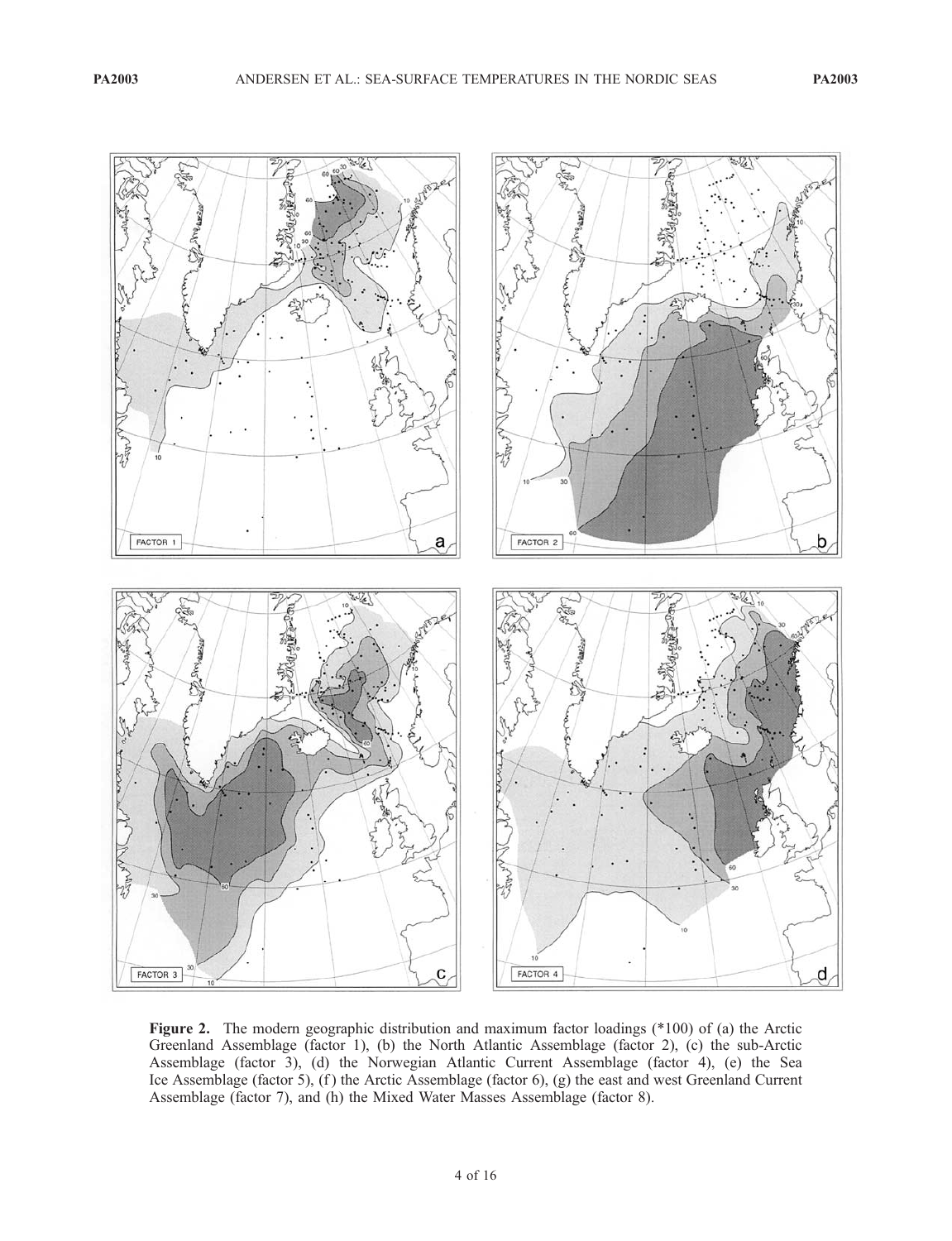

Figure 2. The modern geographic distribution and maximum factor loadings (\*100) of (a) the Arctic Greenland Assemblage (factor 1), (b) the North Atlantic Assemblage (factor 2), (c) the sub-Arctic Assemblage (factor 3), (d) the Norwegian Atlantic Current Assemblage (factor 4), (e) the Sea Ice Assemblage (factor 5), (f) the Arctic Assemblage (factor 6), (g) the east and west Greenland Current Assemblage (factor 7), and (h) the Mixed Water Masses Assemblage (factor 8).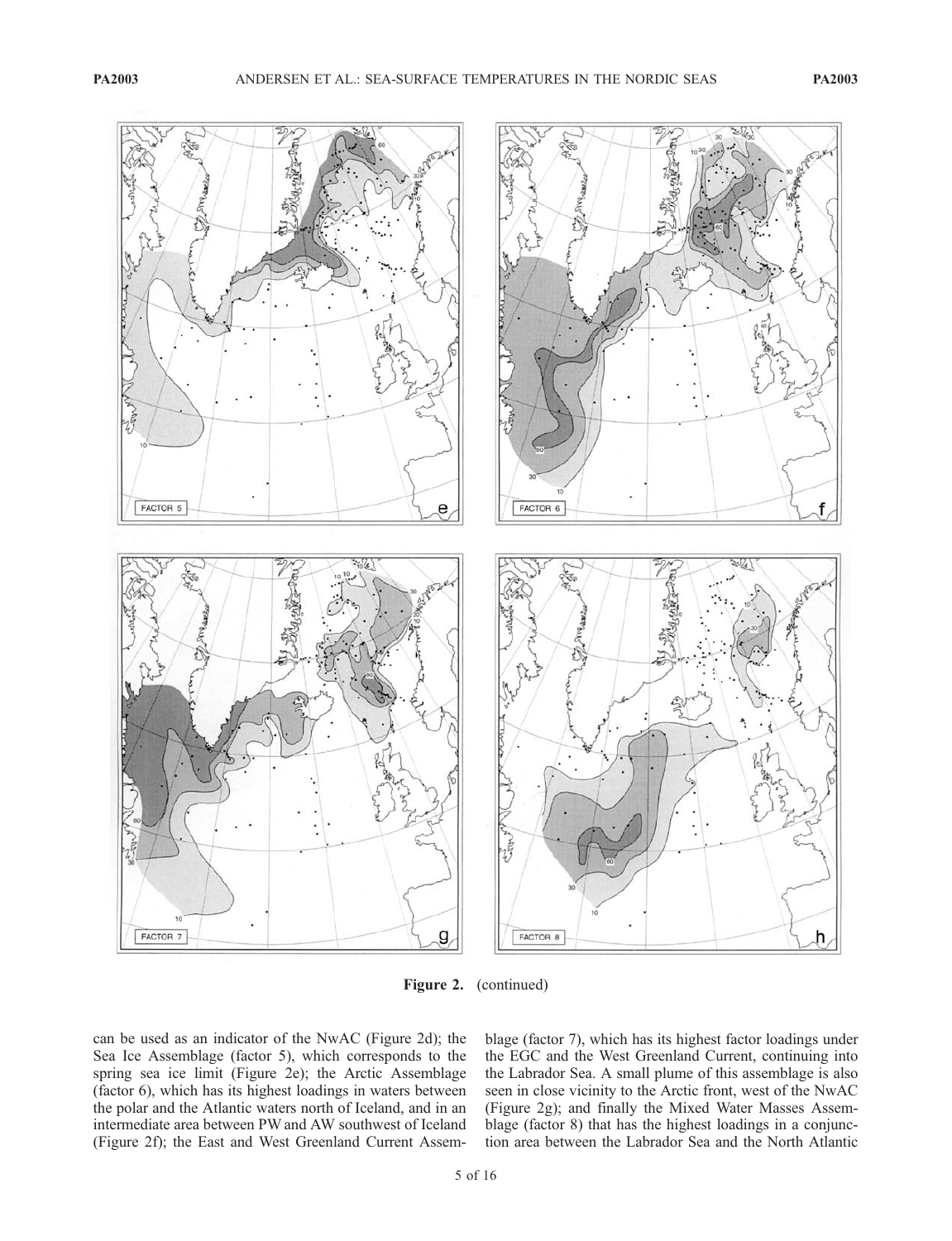

Figure 2. (continued)

can be used as an indicator of the NwAC (Figure 2d); the Sea Ice Assemblage (factor 5), which corresponds to the spring sea ice limit (Figure 2e); the Arctic Assemblage (factor 6), which has its highest loadings in waters between the polar and the Atlantic waters north of Iceland, and in an intermediate area between PW and AW southwest of Iceland (Figure 2f); the East and West Greenland Current Assemblage (factor 7), which has its highest factor loadings under the EGC and the West Greenland Current, continuing into the Labrador Sea. A small plume of this assemblage is also seen in close vicinity to the Arctic front, west of the NwAC (Figure 2g); and finally the Mixed Water Masses Assemblage (factor 8) that has the highest loadings in a conjunction area between the Labrador Sea and the North Atlantic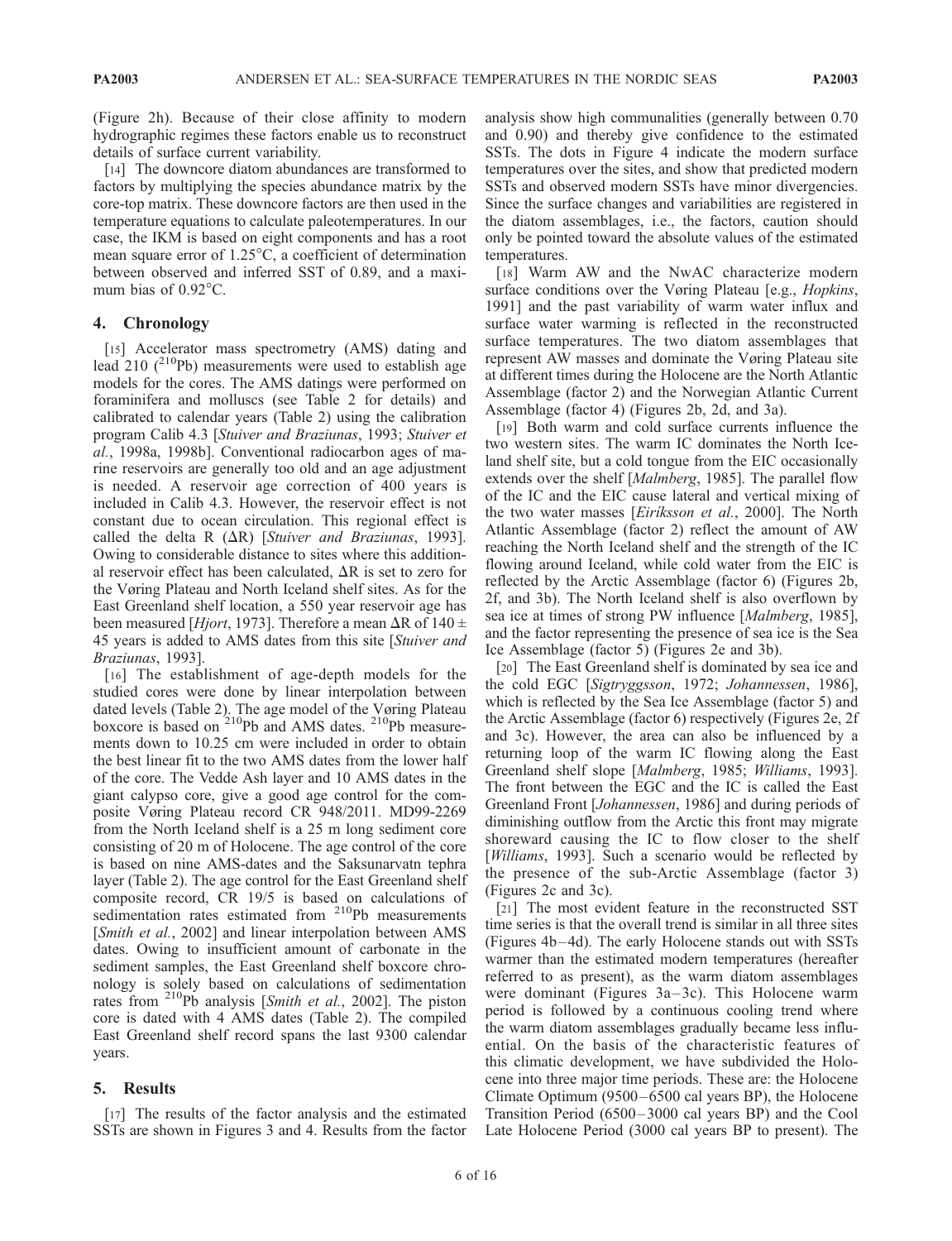(Figure 2h). Because of their close affinity to modern hydrographic regimes these factors enable us to reconstruct details of surface current variability.

[14] The downcore diatom abundances are transformed to factors by multiplying the species abundance matrix by the core-top matrix. These downcore factors are then used in the temperature equations to calculate paleotemperatures. In our case, the IKM is based on eight components and has a root mean square error of  $1.25^{\circ}$ C, a coefficient of determination between observed and inferred SST of 0.89, and a maximum bias of  $0.92^{\circ}$ C.

## 4. Chronology

[15] Accelerator mass spectrometry (AMS) dating and lead 210  $(^{210}Pb)$  measurements were used to establish age models for the cores. The AMS datings were performed on foraminifera and molluscs (see Table 2 for details) and calibrated to calendar years (Table 2) using the calibration program Calib 4.3 [Stuiver and Braziunas, 1993; Stuiver et al., 1998a, 1998b]. Conventional radiocarbon ages of marine reservoirs are generally too old and an age adjustment is needed. A reservoir age correction of 400 years is included in Calib 4.3. However, the reservoir effect is not constant due to ocean circulation. This regional effect is called the delta R  $(\Delta R)$  [Stuiver and Braziunas, 1993]. Owing to considerable distance to sites where this additional reservoir effect has been calculated,  $\Delta R$  is set to zero for the Vøring Plateau and North Iceland shelf sites. As for the East Greenland shelf location, a 550 year reservoir age has been measured [*Hjort*, 1973]. Therefore a mean  $\Delta R$  of 140  $\pm$ 45 years is added to AMS dates from this site [Stuiver and Braziunas, 1993].

[16] The establishment of age-depth models for the studied cores were done by linear interpolation between dated levels (Table 2). The age model of the Vøring Plateau boxcore is based on <sup>210</sup>Pb and AMS dates. <sup>210</sup>Pb measurements down to 10.25 cm were included in order to obtain the best linear fit to the two AMS dates from the lower half of the core. The Vedde Ash layer and 10 AMS dates in the giant calypso core, give a good age control for the composite Vøring Plateau record CR 948/2011. MD99-2269 from the North Iceland shelf is a 25 m long sediment core consisting of 20 m of Holocene. The age control of the core is based on nine AMS-dates and the Saksunarvatn tephra layer (Table 2). The age control for the East Greenland shelf composite record, CR 19/5 is based on calculations of sedimentation rates estimated from <sup>210</sup>Pb measurements [Smith et al., 2002] and linear interpolation between AMS dates. Owing to insufficient amount of carbonate in the sediment samples, the East Greenland shelf boxcore chronology is solely based on calculations of sedimentation rates from <sup>210</sup>Pb analysis [Smith et al., 2002]. The piston core is dated with 4 AMS dates (Table 2). The compiled East Greenland shelf record spans the last 9300 calendar years.

# 5. Results

[17] The results of the factor analysis and the estimated SSTs are shown in Figures 3 and 4. Results from the factor analysis show high communalities (generally between 0.70 and 0.90) and thereby give confidence to the estimated SSTs. The dots in Figure 4 indicate the modern surface temperatures over the sites, and show that predicted modern SSTs and observed modern SSTs have minor divergencies. Since the surface changes and variabilities are registered in the diatom assemblages, i.e., the factors, caution should only be pointed toward the absolute values of the estimated temperatures.

[18] Warm AW and the NwAC characterize modern surface conditions over the Vøring Plateau [e.g., *Hopkins*, 1991] and the past variability of warm water influx and surface water warming is reflected in the reconstructed surface temperatures. The two diatom assemblages that represent AW masses and dominate the Vøring Plateau site at different times during the Holocene are the North Atlantic Assemblage (factor 2) and the Norwegian Atlantic Current Assemblage (factor 4) (Figures 2b, 2d, and 3a).

[19] Both warm and cold surface currents influence the two western sites. The warm IC dominates the North Iceland shelf site, but a cold tongue from the EIC occasionally extends over the shelf [*Malmberg*, 1985]. The parallel flow of the IC and the EIC cause lateral and vertical mixing of the two water masses [Eiriksson et al., 2000]. The North Atlantic Assemblage (factor 2) reflect the amount of AW reaching the North Iceland shelf and the strength of the IC flowing around Iceland, while cold water from the EIC is reflected by the Arctic Assemblage (factor 6) (Figures 2b, 2f, and 3b). The North Iceland shelf is also overflown by sea ice at times of strong PW influence [*Malmberg*, 1985], and the factor representing the presence of sea ice is the Sea Ice Assemblage (factor 5) (Figures 2e and 3b).

[20] The East Greenland shelf is dominated by sea ice and the cold EGC [Sigtryggsson, 1972; Johannessen, 1986], which is reflected by the Sea Ice Assemblage (factor 5) and the Arctic Assemblage (factor 6) respectively (Figures 2e, 2f and 3c). However, the area can also be influenced by a returning loop of the warm IC flowing along the East Greenland shelf slope [Malmberg, 1985; Williams, 1993]. The front between the EGC and the IC is called the East Greenland Front [Johannessen, 1986] and during periods of diminishing outflow from the Arctic this front may migrate shoreward causing the IC to flow closer to the shelf [*Williams*, 1993]. Such a scenario would be reflected by the presence of the sub-Arctic Assemblage (factor 3) (Figures 2c and 3c).

[21] The most evident feature in the reconstructed SST time series is that the overall trend is similar in all three sites (Figures 4b –4d). The early Holocene stands out with SSTs warmer than the estimated modern temperatures (hereafter referred to as present), as the warm diatom assemblages were dominant (Figures  $3a-3c$ ). This Holocene warm period is followed by a continuous cooling trend where the warm diatom assemblages gradually became less influential. On the basis of the characteristic features of this climatic development, we have subdivided the Holocene into three major time periods. These are: the Holocene Climate Optimum (9500–6500 cal years BP), the Holocene Transition Period (6500–3000 cal years BP) and the Cool Late Holocene Period (3000 cal years BP to present). The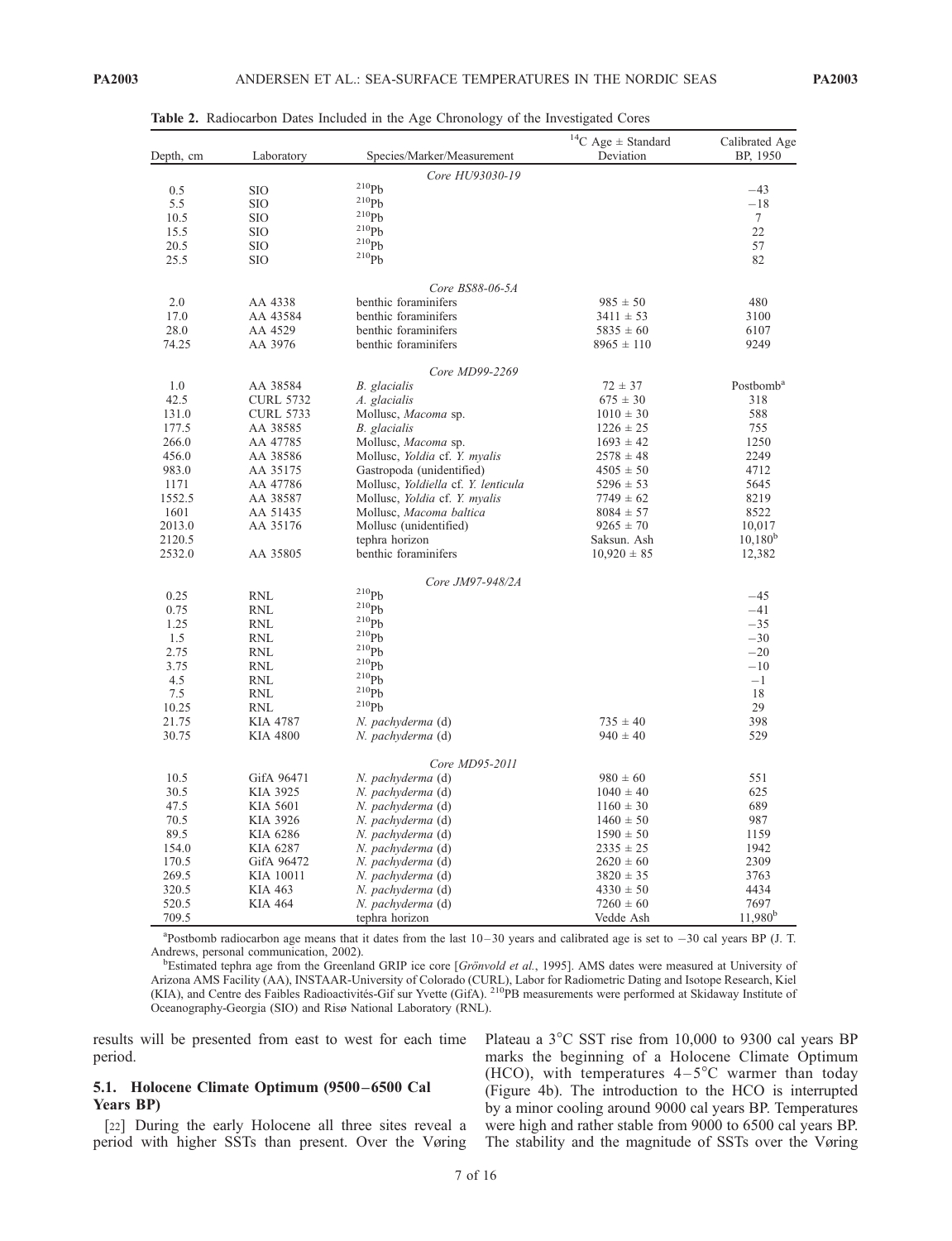| Depth, cm        | Laboratory       | Species/Marker/Measurement             | $^{14}\mathrm{C}$ Age $\pm$ Standard<br>Deviation | Calibrated Age<br>BP, 1950 |
|------------------|------------------|----------------------------------------|---------------------------------------------------|----------------------------|
|                  |                  | Core HU93030-19                        |                                                   |                            |
| 0.5              | <b>SIO</b>       | $^{210}Pb$                             |                                                   | $-43$                      |
| 5.5              | <b>SIO</b>       | $^{210}Pb$                             |                                                   | $-18$                      |
| 10.5             | <b>SIO</b>       | $^{210}Pb$                             |                                                   | $\tau$                     |
| 15.5             | <b>SIO</b>       | $^{210}Pb$                             |                                                   | 22                         |
| 20.5             | <b>SIO</b>       | $^{210}Ph$                             |                                                   | 57                         |
| 25.5             | <b>SIO</b>       | $^{210}Pb$                             |                                                   | 82                         |
|                  |                  | Core BS88-06-5A                        |                                                   |                            |
| 2.0              | AA 4338          | benthic foraminifers                   | $985 \pm 50$                                      | 480                        |
| 17.0             | AA 43584         | benthic foraminifers                   | $3411 \pm 53$                                     | 3100                       |
| 28.0             | AA 4529          | benthic foraminifers<br>$5835 \pm 60$  |                                                   | 6107                       |
| 74.25            | AA 3976          | benthic foraminifers                   | $8965 \pm 110$                                    | 9249                       |
|                  |                  | Core MD99-2269                         |                                                   |                            |
| 1.0              | AA 38584         | B. glacialis                           | $72 \pm 37$                                       | Postbomb <sup>a</sup>      |
| 42.5             | <b>CURL 5732</b> | A. glacialis                           | $675 \pm 30$                                      | 318                        |
| 131.0            | <b>CURL 5733</b> | Mollusc, Macoma sp.                    | $1010 \pm 30$                                     | 588                        |
| 177.5            | AA 38585         | B. glacialis                           | $1226 \pm 25$                                     | 755                        |
| 266.0            | AA 47785         | Mollusc, Macoma sp.                    | $1693 \pm 42$                                     | 1250                       |
| 456.0            | AA 38586         | Mollusc, Yoldia cf. Y. myalis          | $2578 \pm 48$                                     | 2249                       |
| 983.0            | AA 35175         | Gastropoda (unidentified)              | $4505 \pm 50$                                     | 4712                       |
| 1171             | AA 47786         | Mollusc, Yoldiella cf. Y. lenticula    | $5296 \pm 53$                                     | 5645                       |
| 1552.5           | AA 38587         | Mollusc, Yoldia cf. Y. myalis          | $7749 \pm 62$                                     | 8219                       |
| 1601             | AA 51435         | Mollusc, Macoma baltica                | $8084 \pm 57$                                     | 8522                       |
|                  |                  |                                        |                                                   |                            |
| 2013.0           | AA 35176         | Mollusc (unidentified)                 | $9265 \pm 70$                                     | 10,017<br>$10,180^b$       |
| 2120.5<br>2532.0 | AA 35805         | tephra horizon<br>benthic foraminifers | Saksun. Ash<br>$10,920 \pm 85$                    | 12,382                     |
|                  |                  |                                        |                                                   |                            |
| 0.25             | <b>RNL</b>       | Core JM97-948/2A<br>$^{210}Pb$         |                                                   | $-45$                      |
| 0.75             | <b>RNL</b>       | $\rm ^{210}Pb$                         |                                                   | $-41$                      |
| 1.25             | RNL              | $^{210}Pb$                             |                                                   | $-35$                      |
| 1.5              | <b>RNL</b>       | $^{210}Ph$                             |                                                   | $-30$                      |
|                  |                  | 210Pb                                  |                                                   | $-20$                      |
| 2.75             | RNL              | $^{210}Ph$                             |                                                   | $-10$                      |
| 3.75             | RNL              | $^{210}Ph$                             |                                                   |                            |
| 4.5              | RNL              | $^{210}Ph$                             |                                                   | $-1$                       |
| 7.5              | <b>RNL</b>       | $^{210}Pb$                             |                                                   | 18                         |
| 10.25            | <b>RNL</b>       |                                        |                                                   | 29                         |
| 21.75            | <b>KIA 4787</b>  | N. pachyderma (d)                      | $735 \pm 40$                                      | 398                        |
| 30.75            | <b>KIA 4800</b>  | N. pachyderma (d)                      | $940 \pm 40$                                      | 529                        |
|                  |                  | Core MD95-2011                         |                                                   |                            |
| 10.5             | GifA 96471       | N. pachyderma (d)                      | $980 \pm 60$                                      | 551                        |
| 30.5             | KIA 3925         | N. pachyderma (d)                      | $1040 \pm 40$                                     | 625                        |
| 47.5             | KIA 5601         | N. pachyderma (d)                      | $1160 \pm 30$                                     | 689                        |
| 70.5             | KIA 3926         | N. pachyderma (d)                      | $1460 \pm 50$                                     | 987                        |
| 89.5             | KIA 6286         | N. pachyderma (d)                      | $1590 \pm 50$                                     | 1159                       |
| 154.0            | KIA 6287         | N. pachyderma (d)                      | $2335 \pm 25$                                     | 1942                       |
| 170.5            | GifA 96472       | N. pachyderma (d)                      | $2620 \pm 60$                                     | 2309                       |
| 269.5            | KIA 10011        | N. pachyderma (d)                      | $3820 \pm 35$                                     | 3763                       |
| 320.5            | KIA 463          | N. pachyderma (d)                      | $4330 \pm 50$                                     | 4434                       |
| 520.5            | <b>KIA 464</b>   | N. pachyderma (d)                      | $7260 \pm 60$                                     | 7697                       |
| 709.5            |                  | tephra horizon                         | Vedde Ash                                         | $11,980^{\rm b}$           |

Table 2. Radiocarbon Dates Included in the Age Chronology of the Investigated Cores

<sup>a</sup>Postbomb radiocarbon age means that it dates from the last 10-30 years and calibrated age is set to -30 cal years BP (J. T. Andrews, personal communication, 2002). <sup>b</sup>

<sup>b</sup>Estimated tephra age from the Greenland GRIP ice core [Grönvold et al., 1995]. AMS dates were measured at University of Arizona AMS Facility (AA), INSTAAR-University of Colorado (CURL), Labor for Radiometric Dating and Isotope Research, Kiel (KIA), and Centre des Faibles Radioactivités-Gif sur Yvette (GifA). <sup>210</sup>PB measurements were performed at Skidaway Institute of Oceanography-Georgia (SIO) and Risø National Laboratory (RNL).

results will be presented from east to west for each time period.

#### 5.1. Holocene Climate Optimum (9500-6500 Cal Years BP)

[22] During the early Holocene all three sites reveal a period with higher SSTs than present. Over the Vøring

Plateau a  $3^{\circ}$ C SST rise from 10,000 to 9300 cal years BP marks the beginning of a Holocene Climate Optimum (HCO), with temperatures  $4-5^{\circ}$ C warmer than today (Figure 4b). The introduction to the HCO is interrupted by a minor cooling around 9000 cal years BP. Temperatures were high and rather stable from 9000 to 6500 cal years BP. The stability and the magnitude of SSTs over the Vøring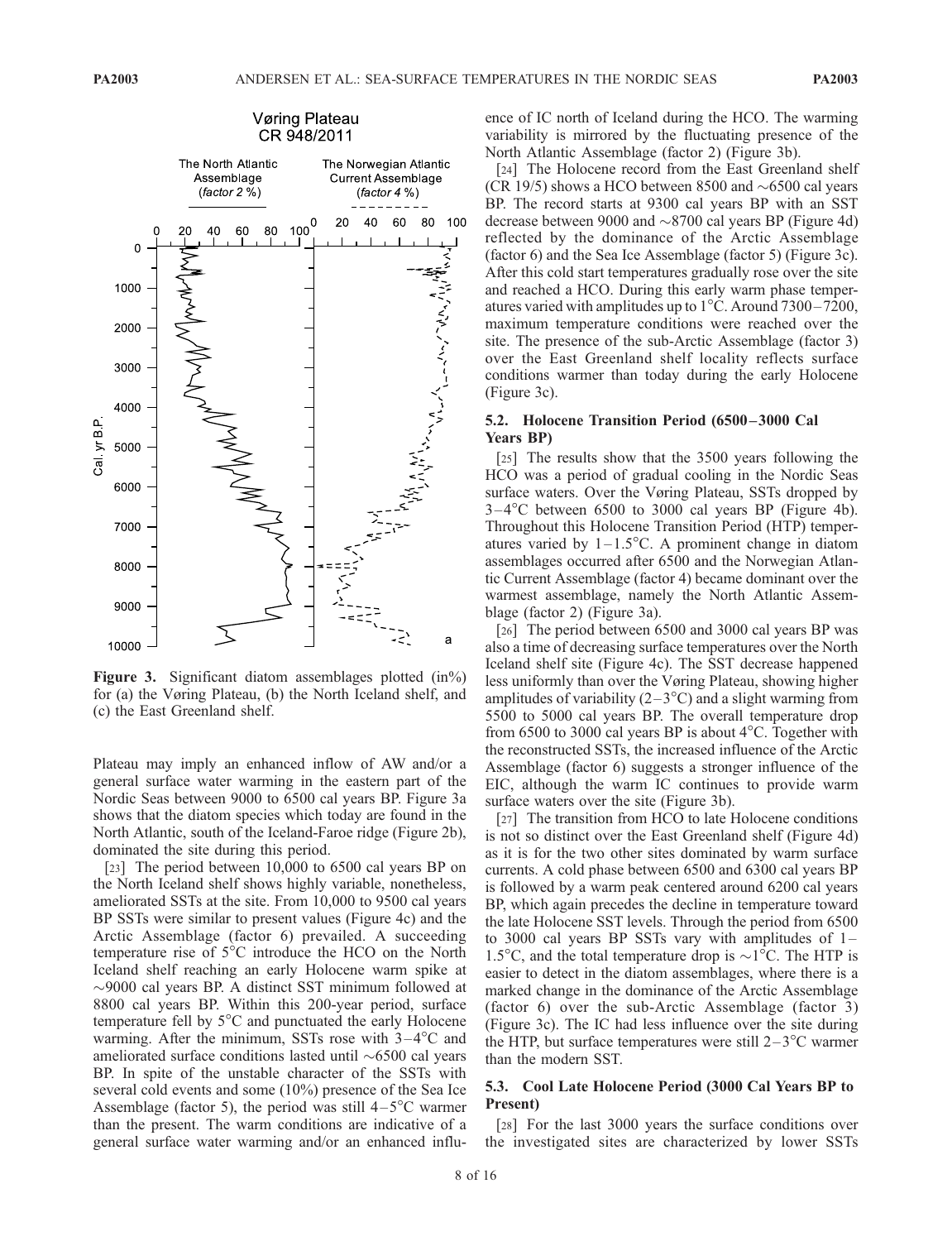

Figure 3. Significant diatom assemblages plotted (in%) for (a) the Vøring Plateau, (b) the North Iceland shelf, and (c) the East Greenland shelf.

Plateau may imply an enhanced inflow of AW and/or a general surface water warming in the eastern part of the Nordic Seas between 9000 to 6500 cal years BP. Figure 3a shows that the diatom species which today are found in the North Atlantic, south of the Iceland-Faroe ridge (Figure 2b), dominated the site during this period.

[23] The period between 10,000 to 6500 cal years BP on the North Iceland shelf shows highly variable, nonetheless, ameliorated SSTs at the site. From 10,000 to 9500 cal years BP SSTs were similar to present values (Figure 4c) and the Arctic Assemblage (factor 6) prevailed. A succeeding temperature rise of  $5^{\circ}$ C introduce the HCO on the North Iceland shelf reaching an early Holocene warm spike at -9000 cal years BP. A distinct SST minimum followed at 8800 cal years BP. Within this 200-year period, surface temperature fell by  $5^{\circ}$ C and punctuated the early Holocene warming. After the minimum, SSTs rose with  $3-4^{\circ}$ C and ameliorated surface conditions lasted until  $\sim 6500$  cal years BP. In spite of the unstable character of the SSTs with several cold events and some (10%) presence of the Sea Ice Assemblage (factor 5), the period was still  $4-5^{\circ}$ C warmer than the present. The warm conditions are indicative of a general surface water warming and/or an enhanced influence of IC north of Iceland during the HCO. The warming variability is mirrored by the fluctuating presence of the North Atlantic Assemblage (factor 2) (Figure 3b).

[24] The Holocene record from the East Greenland shelf (CR 19/5) shows a HCO between 8500 and  $\sim$  6500 cal years BP. The record starts at 9300 cal years BP with an SST decrease between 9000 and  $\sim$ 8700 cal years BP (Figure 4d) reflected by the dominance of the Arctic Assemblage (factor 6) and the Sea Ice Assemblage (factor 5) (Figure 3c). After this cold start temperatures gradually rose over the site and reached a HCO. During this early warm phase temperatures varied with amplitudes up to  $1^{\circ}$ C. Around 7300 – 7200, maximum temperature conditions were reached over the site. The presence of the sub-Arctic Assemblage (factor 3) over the East Greenland shelf locality reflects surface conditions warmer than today during the early Holocene (Figure 3c).

#### 5.2. Holocene Transition Period (6500 –3000 Cal Years BP)

[25] The results show that the 3500 years following the HCO was a period of gradual cooling in the Nordic Seas surface waters. Over the Vøring Plateau, SSTs dropped by  $3-4^{\circ}$ C between 6500 to 3000 cal years BP (Figure 4b). Throughout this Holocene Transition Period (HTP) temperatures varied by  $1 - 1.5^{\circ}$ C. A prominent change in diatom assemblages occurred after 6500 and the Norwegian Atlantic Current Assemblage (factor 4) became dominant over the warmest assemblage, namely the North Atlantic Assemblage (factor 2) (Figure 3a).

[26] The period between 6500 and 3000 cal years BP was also a time of decreasing surface temperatures over the North Iceland shelf site (Figure 4c). The SST decrease happened less uniformly than over the Vøring Plateau, showing higher amplitudes of variability  $(2-3<sup>o</sup>C)$  and a slight warming from 5500 to 5000 cal years BP. The overall temperature drop from 6500 to 3000 cal years BP is about  $4^{\circ}$ C. Together with the reconstructed SSTs, the increased influence of the Arctic Assemblage (factor 6) suggests a stronger influence of the EIC, although the warm IC continues to provide warm surface waters over the site (Figure 3b).

[27] The transition from HCO to late Holocene conditions is not so distinct over the East Greenland shelf (Figure 4d) as it is for the two other sites dominated by warm surface currents. A cold phase between 6500 and 6300 cal years BP is followed by a warm peak centered around 6200 cal years BP, which again precedes the decline in temperature toward the late Holocene SST levels. Through the period from 6500 to 3000 cal years BP SSTs vary with amplitudes of 1– 1.5<sup>o</sup>C, and the total temperature drop is  $\sim$ 1<sup>o</sup>C. The HTP is easier to detect in the diatom assemblages, where there is a marked change in the dominance of the Arctic Assemblage (factor 6) over the sub-Arctic Assemblage (factor 3) (Figure 3c). The IC had less influence over the site during the HTP, but surface temperatures were still  $2-3$ <sup>o</sup>C warmer than the modern SST.

## 5.3. Cool Late Holocene Period (3000 Cal Years BP to Present)

[28] For the last 3000 years the surface conditions over the investigated sites are characterized by lower SSTs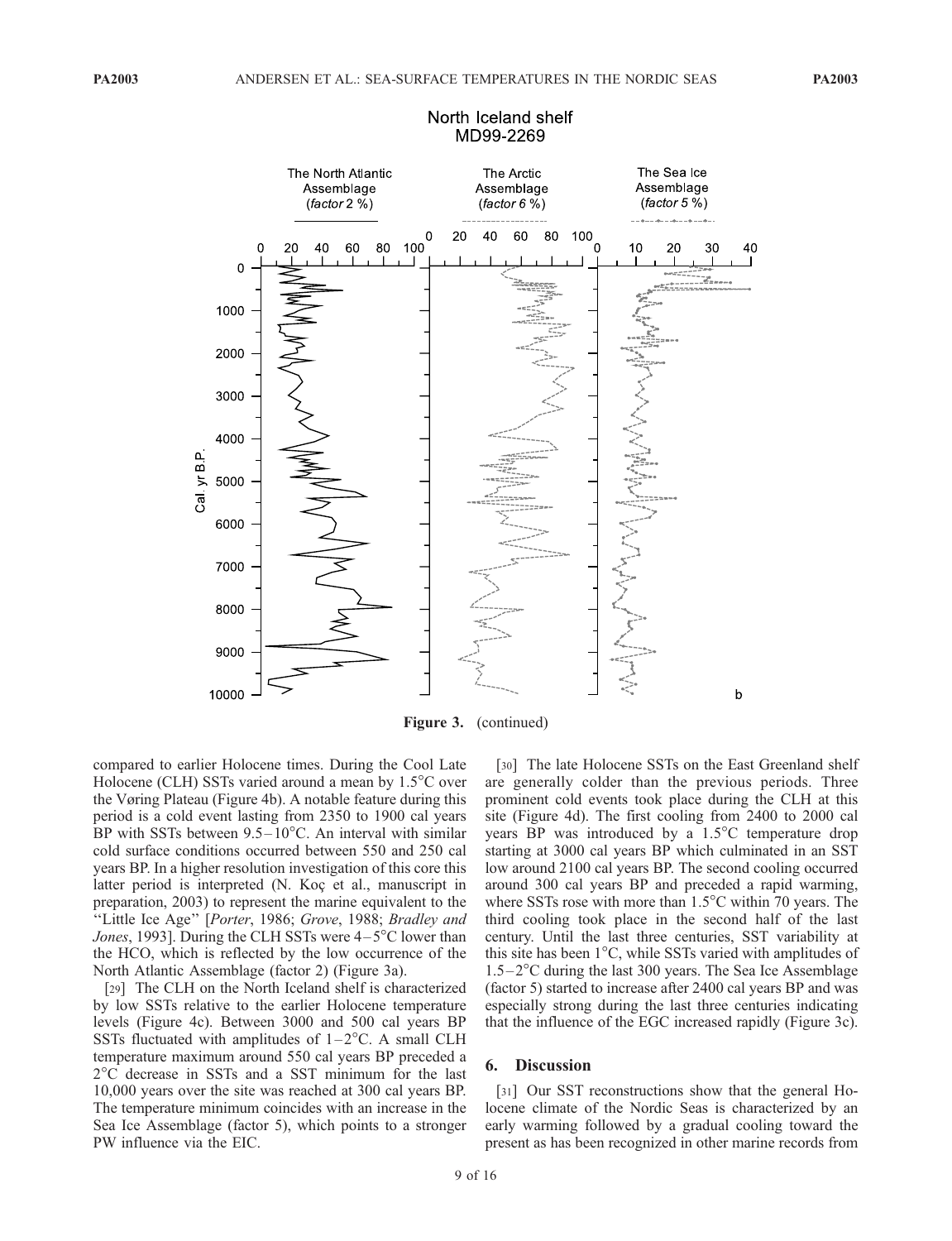

## North Iceland shelf MD99-2269

Figure 3. (continued)

compared to earlier Holocene times. During the Cool Late Holocene (CLH) SSTs varied around a mean by  $1.5^{\circ}$ C over the Vøring Plateau (Figure 4b). A notable feature during this period is a cold event lasting from 2350 to 1900 cal years BP with SSTs between  $9.5-10^{\circ}$ C. An interval with similar cold surface conditions occurred between 550 and 250 cal years BP. In a higher resolution investigation of this core this latter period is interpreted (N. Koc et al., manuscript in preparation, 2003) to represent the marine equivalent to the "Little Ice Age" [Porter, 1986; Grove, 1988; Bradley and Jones, 1993]. During the CLH SSTs were  $4-5^{\circ}$ C lower than the HCO, which is reflected by the low occurrence of the North Atlantic Assemblage (factor 2) (Figure 3a).

[29] The CLH on the North Iceland shelf is characterized by low SSTs relative to the earlier Holocene temperature levels (Figure 4c). Between 3000 and 500 cal years BP SSTs fluctuated with amplitudes of  $1-2$ °C. A small CLH temperature maximum around 550 cal years BP preceded a 2C decrease in SSTs and a SST minimum for the last 10,000 years over the site was reached at 300 cal years BP. The temperature minimum coincides with an increase in the Sea Ice Assemblage (factor 5), which points to a stronger PW influence via the EIC.

[30] The late Holocene SSTs on the East Greenland shelf are generally colder than the previous periods. Three prominent cold events took place during the CLH at this site (Figure 4d). The first cooling from 2400 to 2000 cal years BP was introduced by a 1.5°C temperature drop starting at 3000 cal years BP which culminated in an SST low around 2100 cal years BP. The second cooling occurred around 300 cal years BP and preceded a rapid warming, where SSTs rose with more than  $1.5^{\circ}$ C within 70 years. The third cooling took place in the second half of the last century. Until the last three centuries, SST variability at this site has been  $1^{\circ}$ C, while SSTs varied with amplitudes of  $1.5-2$ <sup>o</sup>C during the last 300 years. The Sea Ice Assemblage (factor 5) started to increase after 2400 cal years BP and was especially strong during the last three centuries indicating that the influence of the EGC increased rapidly (Figure 3c).

#### 6. Discussion

[31] Our SST reconstructions show that the general Holocene climate of the Nordic Seas is characterized by an early warming followed by a gradual cooling toward the present as has been recognized in other marine records from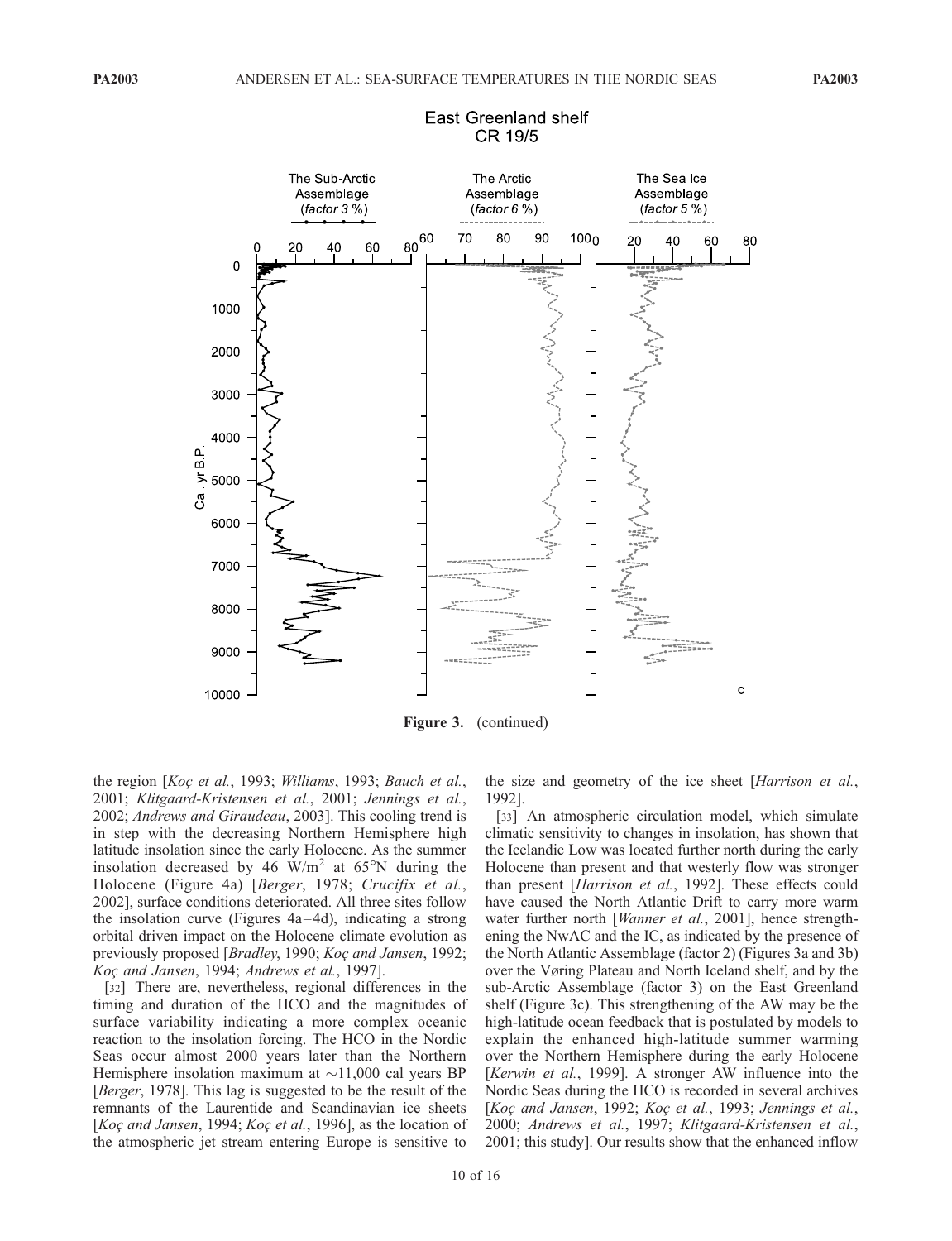

## East Greenland shelf CR 19/5

Figure 3. (continued)

the region [Koc et al., 1993; Williams, 1993; Bauch et al., 2001; Klitgaard-Kristensen et al., 2001; Jennings et al., 2002; Andrews and Giraudeau, 2003]. This cooling trend is in step with the decreasing Northern Hemisphere high latitude insolation since the early Holocene. As the summer insolation decreased by 46  $\text{W/m}^2$  at 65°N during the Holocene (Figure 4a) [Berger, 1978; Crucifix et al., 2002], surface conditions deteriorated. All three sites follow the insolation curve (Figures  $4a-4d$ ), indicating a strong orbital driven impact on the Holocene climate evolution as previously proposed [*Bradley*, 1990; Koç and Jansen, 1992; Koc and Jansen, 1994; Andrews et al., 1997].

[32] There are, nevertheless, regional differences in the timing and duration of the HCO and the magnitudes of surface variability indicating a more complex oceanic reaction to the insolation forcing. The HCO in the Nordic Seas occur almost 2000 years later than the Northern Hemisphere insolation maximum at  $\sim$ 11,000 cal years BP [Berger, 1978]. This lag is suggested to be the result of the remnants of the Laurentide and Scandinavian ice sheets [Koç and Jansen, 1994; Koç et al., 1996], as the location of the atmospheric jet stream entering Europe is sensitive to the size and geometry of the ice sheet [Harrison et al., 1992].

[33] An atmospheric circulation model, which simulate climatic sensitivity to changes in insolation, has shown that the Icelandic Low was located further north during the early Holocene than present and that westerly flow was stronger than present [Harrison et al., 1992]. These effects could have caused the North Atlantic Drift to carry more warm water further north [Wanner et al., 2001], hence strengthening the NwAC and the IC, as indicated by the presence of the North Atlantic Assemblage (factor 2) (Figures 3a and 3b) over the Vøring Plateau and North Iceland shelf, and by the sub-Arctic Assemblage (factor 3) on the East Greenland shelf (Figure 3c). This strengthening of the AW may be the high-latitude ocean feedback that is postulated by models to explain the enhanced high-latitude summer warming over the Northern Hemisphere during the early Holocene [Kerwin et al., 1999]. A stronger AW influence into the Nordic Seas during the HCO is recorded in several archives [Koç and Jansen, 1992; Koç et al., 1993; Jennings et al., 2000; Andrews et al., 1997; Klitgaard-Kristensen et al., 2001; this study]. Our results show that the enhanced inflow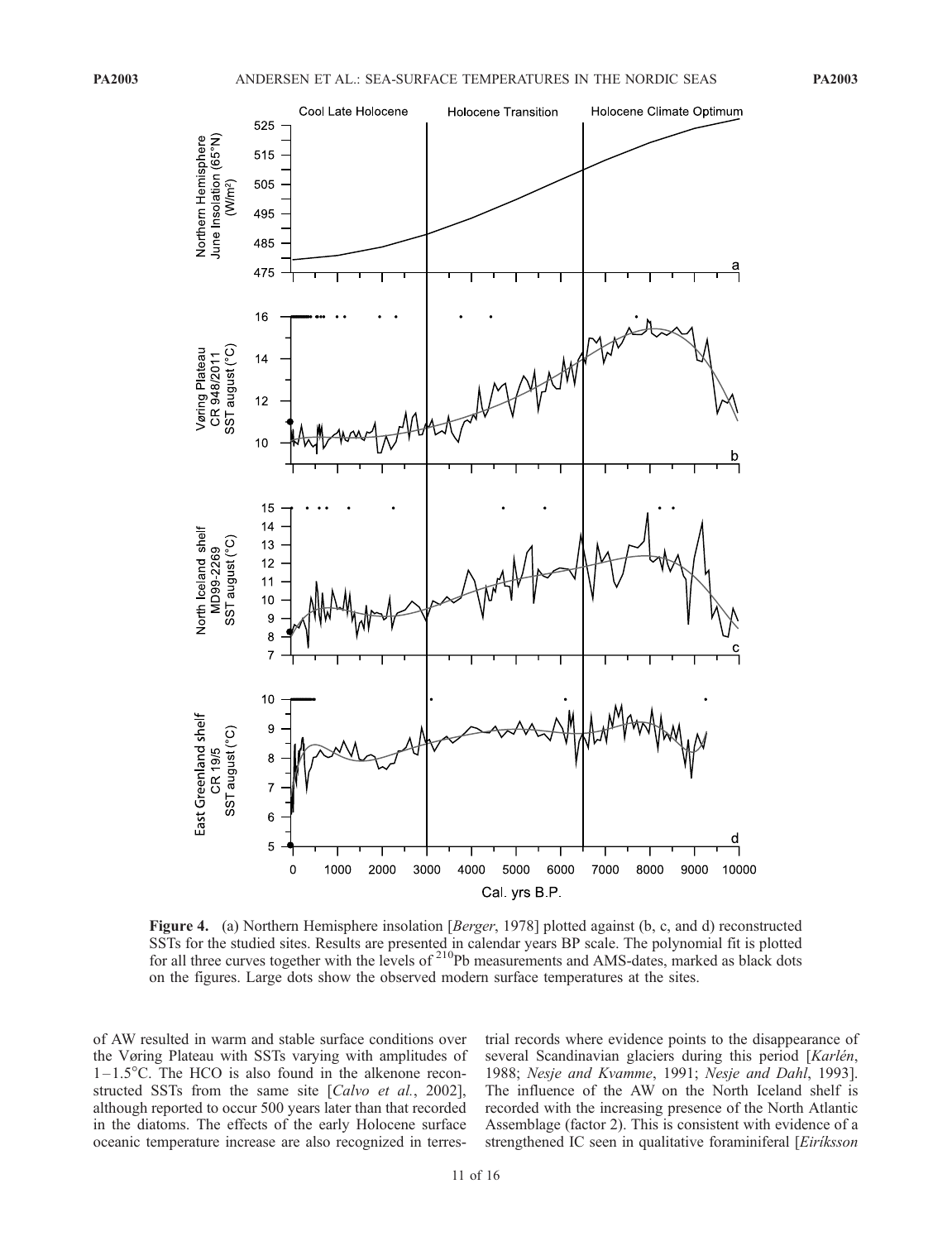

Figure 4. (a) Northern Hemisphere insolation [Berger, 1978] plotted against (b, c, and d) reconstructed SSTs for the studied sites. Results are presented in calendar years BP scale. The polynomial fit is plotted for all three curves together with the levels of <sup>210</sup>Pb measurements and AMS-dates, marked as black dots on the figures. Large dots show the observed modern surface temperatures at the sites.

of AW resulted in warm and stable surface conditions over the Vøring Plateau with SSTs varying with amplitudes of  $1-1.5^{\circ}$ C. The HCO is also found in the alkenone reconstructed SSTs from the same site [Calvo et al., 2002], although reported to occur 500 years later than that recorded in the diatoms. The effects of the early Holocene surface oceanic temperature increase are also recognized in terrestrial records where evidence points to the disappearance of several Scandinavian glaciers during this period [Karlén, 1988; Nesje and Kvamme, 1991; Nesje and Dahl, 1993]. The influence of the AW on the North Iceland shelf is recorded with the increasing presence of the North Atlantic Assemblage (factor 2). This is consistent with evidence of a strengthened IC seen in qualitative foraminiferal [Eiriksson]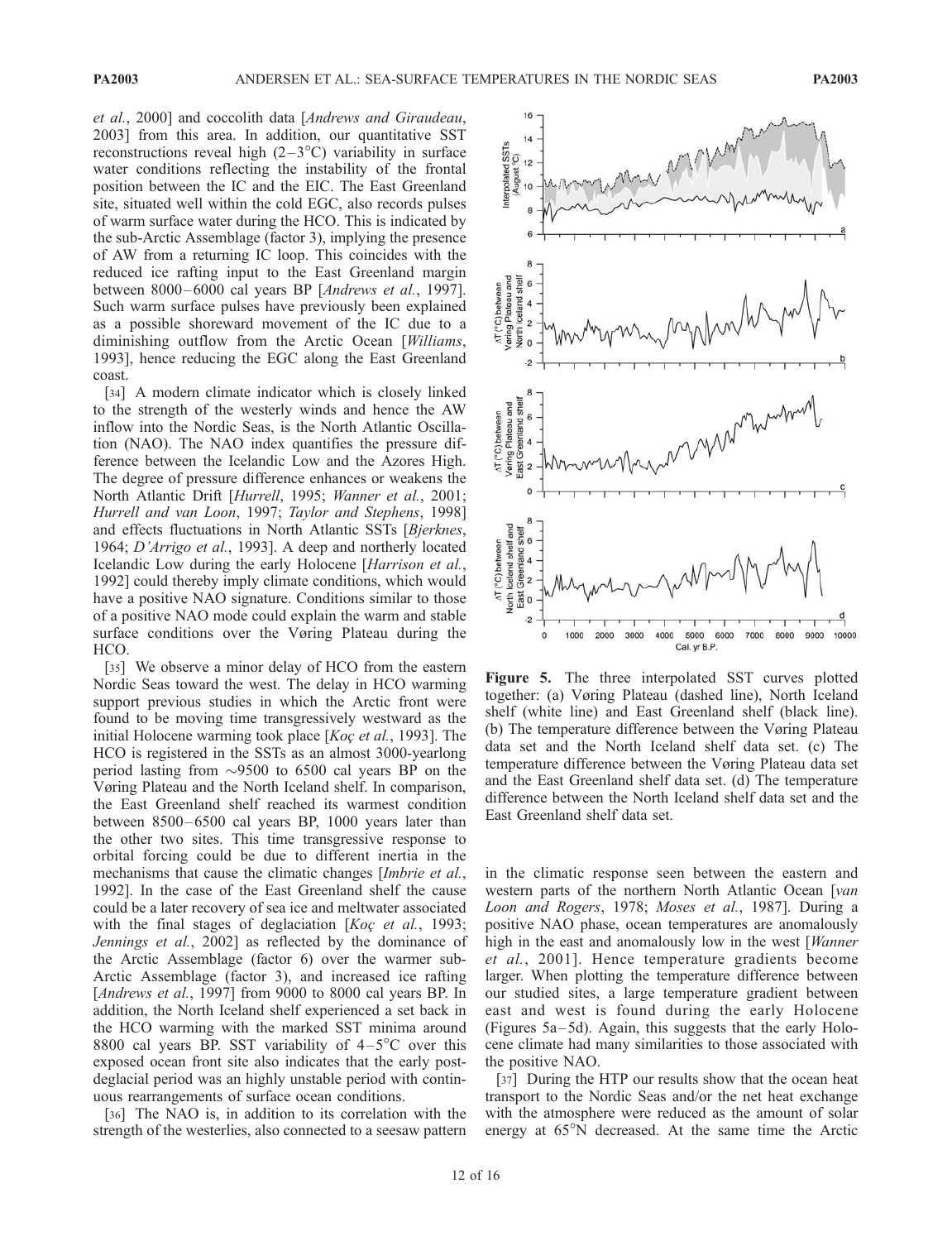et al., 2000] and coccolith data [Andrews and Giraudeau, 2003] from this area. In addition, our quantitative SST reconstructions reveal high  $(2-3^{\circ}C)$  variability in surface water conditions reflecting the instability of the frontal position between the IC and the EIC. The East Greenland site, situated well within the cold EGC, also records pulses of warm surface water during the HCO. This is indicated by the sub-Arctic Assemblage (factor 3), implying the presence of AW from a returning IC loop. This coincides with the reduced ice rafting input to the East Greenland margin between 8000-6000 cal years BP [Andrews et al., 1997]. Such warm surface pulses have previously been explained as a possible shoreward movement of the IC due to a diminishing outflow from the Arctic Ocean [Williams, 1993], hence reducing the EGC along the East Greenland coast.

[34] A modern climate indicator which is closely linked to the strength of the westerly winds and hence the AW inflow into the Nordic Seas, is the North Atlantic Oscillation (NAO). The NAO index quantifies the pressure difference between the Icelandic Low and the Azores High. The degree of pressure difference enhances or weakens the North Atlantic Drift [Hurrell, 1995; Wanner et al., 2001; Hurrell and van Loon, 1997; Taylor and Stephens, 1998] and effects fluctuations in North Atlantic SSTs [Bjerknes, 1964; D'Arrigo et al., 1993]. A deep and northerly located Icelandic Low during the early Holocene [Harrison et al., 1992] could thereby imply climate conditions, which would have a positive NAO signature. Conditions similar to those of a positive NAO mode could explain the warm and stable surface conditions over the Vøring Plateau during the HCO.

[35] We observe a minor delay of HCO from the eastern Nordic Seas toward the west. The delay in HCO warming support previous studies in which the Arctic front were found to be moving time transgressively westward as the initial Holocene warming took place  $[Ko\varphi]$  et al., 1993]. The HCO is registered in the SSTs as an almost 3000-yearlong period lasting from  $\sim$ 9500 to 6500 cal years BP on the Vøring Plateau and the North Iceland shelf. In comparison, the East Greenland shelf reached its warmest condition between 8500-6500 cal years BP, 1000 years later than the other two sites. This time transgressive response to orbital forcing could be due to different inertia in the mechanisms that cause the climatic changes [Imbrie et al., 1992]. In the case of the East Greenland shelf the cause could be a later recovery of sea ice and meltwater associated with the final stages of deglaciation  $[Ko\gamma \text{ et al.}, 1993;$ Jennings et al., 2002] as reflected by the dominance of the Arctic Assemblage (factor 6) over the warmer sub-Arctic Assemblage (factor 3), and increased ice rafting [Andrews et al., 1997] from 9000 to 8000 cal years BP. In addition, the North Iceland shelf experienced a set back in the HCO warming with the marked SST minima around 8800 cal years BP. SST variability of  $4-5^{\circ}$ C over this exposed ocean front site also indicates that the early postdeglacial period was an highly unstable period with continuous rearrangements of surface ocean conditions.

[36] The NAO is, in addition to its correlation with the strength of the westerlies, also connected to a seesaw pattern



Figure 5. The three interpolated SST curves plotted together: (a) Vøring Plateau (dashed line), North Iceland shelf (white line) and East Greenland shelf (black line). (b) The temperature difference between the Vøring Plateau data set and the North Iceland shelf data set. (c) The temperature difference between the Vøring Plateau data set and the East Greenland shelf data set. (d) The temperature difference between the North Iceland shelf data set and the East Greenland shelf data set.

in the climatic response seen between the eastern and western parts of the northern North Atlantic Ocean [van Loon and Rogers, 1978; Moses et al., 1987]. During a positive NAO phase, ocean temperatures are anomalously high in the east and anomalously low in the west [*Wanner* et al., 2001]. Hence temperature gradients become larger. When plotting the temperature difference between our studied sites, a large temperature gradient between east and west is found during the early Holocene (Figures  $5a-5d$ ). Again, this suggests that the early Holocene climate had many similarities to those associated with the positive NAO.

[37] During the HTP our results show that the ocean heat transport to the Nordic Seas and/or the net heat exchange with the atmosphere were reduced as the amount of solar energy at 65°N decreased. At the same time the Arctic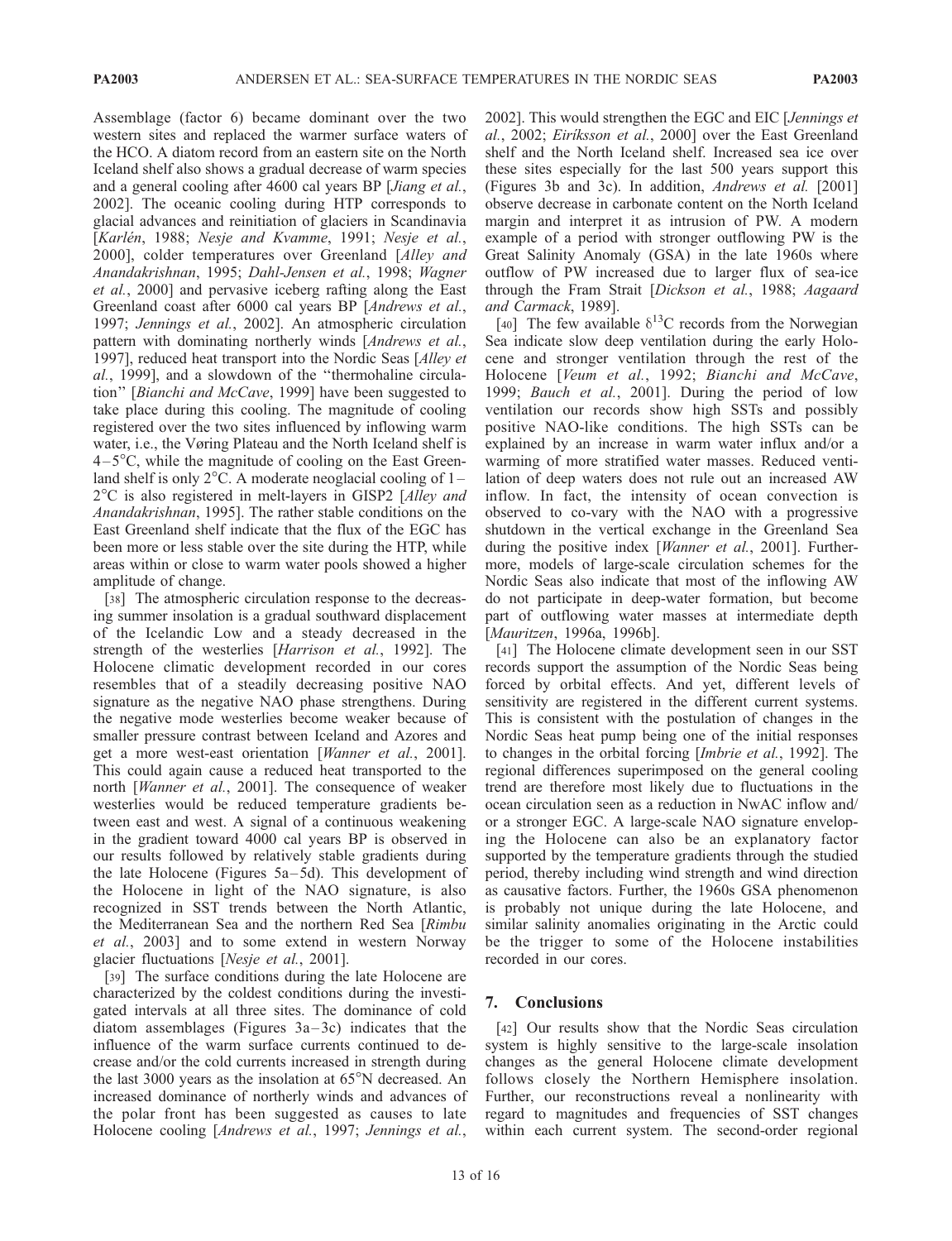Assemblage (factor 6) became dominant over the two western sites and replaced the warmer surface waters of the HCO. A diatom record from an eastern site on the North Iceland shelf also shows a gradual decrease of warm species and a general cooling after 4600 cal years BP [Jiang et al., 2002]. The oceanic cooling during HTP corresponds to glacial advances and reinitiation of glaciers in Scandinavia [Karlén, 1988; Nesje and Kvamme, 1991; Nesje et al., 2000], colder temperatures over Greenland [Alley and Anandakrishnan, 1995; Dahl-Jensen et al., 1998; Wagner et al., 2000] and pervasive iceberg rafting along the East Greenland coast after 6000 cal years BP [Andrews et al., 1997; Jennings et al., 2002]. An atmospheric circulation pattern with dominating northerly winds [*Andrews et al.*, 1997], reduced heat transport into the Nordic Seas [Alley et al., 1999], and a slowdown of the ''thermohaline circulation'' [Bianchi and McCave, 1999] have been suggested to take place during this cooling. The magnitude of cooling registered over the two sites influenced by inflowing warm water, i.e., the Vøring Plateau and the North Iceland shelf is  $4-5^{\circ}$ C, while the magnitude of cooling on the East Greenland shelf is only  $2^{\circ}$ C. A moderate neoglacial cooling of 1 –  $2^{\circ}$ C is also registered in melt-layers in GISP2 [Alley and Anandakrishnan, 1995]. The rather stable conditions on the East Greenland shelf indicate that the flux of the EGC has been more or less stable over the site during the HTP, while areas within or close to warm water pools showed a higher amplitude of change.

[38] The atmospheric circulation response to the decreasing summer insolation is a gradual southward displacement of the Icelandic Low and a steady decreased in the strength of the westerlies [Harrison et al., 1992]. The Holocene climatic development recorded in our cores resembles that of a steadily decreasing positive NAO signature as the negative NAO phase strengthens. During the negative mode westerlies become weaker because of smaller pressure contrast between Iceland and Azores and get a more west-east orientation [Wanner et al., 2001]. This could again cause a reduced heat transported to the north [Wanner et al., 2001]. The consequence of weaker westerlies would be reduced temperature gradients between east and west. A signal of a continuous weakening in the gradient toward 4000 cal years BP is observed in our results followed by relatively stable gradients during the late Holocene (Figures  $5a-5d$ ). This development of the Holocene in light of the NAO signature, is also recognized in SST trends between the North Atlantic, the Mediterranean Sea and the northern Red Sea [Rimbu et al., 2003] and to some extend in western Norway glacier fluctuations [Nesje et al., 2001].

[39] The surface conditions during the late Holocene are characterized by the coldest conditions during the investigated intervals at all three sites. The dominance of cold diatom assemblages (Figures  $3a-3c$ ) indicates that the influence of the warm surface currents continued to decrease and/or the cold currents increased in strength during the last 3000 years as the insolation at  $65^{\circ}$ N decreased. An increased dominance of northerly winds and advances of the polar front has been suggested as causes to late Holocene cooling [Andrews et al., 1997; Jennings et al.,

2002]. This would strengthen the EGC and EIC [Jennings et al., 2002; *Eiriksson et al.*, 2000] over the East Greenland shelf and the North Iceland shelf. Increased sea ice over these sites especially for the last 500 years support this (Figures 3b and 3c). In addition, Andrews et al. [2001] observe decrease in carbonate content on the North Iceland margin and interpret it as intrusion of PW. A modern example of a period with stronger outflowing PW is the Great Salinity Anomaly (GSA) in the late 1960s where outflow of PW increased due to larger flux of sea-ice through the Fram Strait [Dickson et al., 1988; Aagaard and Carmack, 1989].

[40] The few available  $\delta^{13}$ C records from the Norwegian Sea indicate slow deep ventilation during the early Holocene and stronger ventilation through the rest of the Holocene [Veum et al., 1992; Bianchi and McCave, 1999; Bauch et al., 2001]. During the period of low ventilation our records show high SSTs and possibly positive NAO-like conditions. The high SSTs can be explained by an increase in warm water influx and/or a warming of more stratified water masses. Reduced ventilation of deep waters does not rule out an increased AW inflow. In fact, the intensity of ocean convection is observed to co-vary with the NAO with a progressive shutdown in the vertical exchange in the Greenland Sea during the positive index [Wanner et al., 2001]. Furthermore, models of large-scale circulation schemes for the Nordic Seas also indicate that most of the inflowing AW do not participate in deep-water formation, but become part of outflowing water masses at intermediate depth [Mauritzen, 1996a, 1996b].

[41] The Holocene climate development seen in our SST records support the assumption of the Nordic Seas being forced by orbital effects. And yet, different levels of sensitivity are registered in the different current systems. This is consistent with the postulation of changes in the Nordic Seas heat pump being one of the initial responses to changes in the orbital forcing [Imbrie et al., 1992]. The regional differences superimposed on the general cooling trend are therefore most likely due to fluctuations in the ocean circulation seen as a reduction in NwAC inflow and/ or a stronger EGC. A large-scale NAO signature enveloping the Holocene can also be an explanatory factor supported by the temperature gradients through the studied period, thereby including wind strength and wind direction as causative factors. Further, the 1960s GSA phenomenon is probably not unique during the late Holocene, and similar salinity anomalies originating in the Arctic could be the trigger to some of the Holocene instabilities recorded in our cores.

## 7. Conclusions

[42] Our results show that the Nordic Seas circulation system is highly sensitive to the large-scale insolation changes as the general Holocene climate development follows closely the Northern Hemisphere insolation. Further, our reconstructions reveal a nonlinearity with regard to magnitudes and frequencies of SST changes within each current system. The second-order regional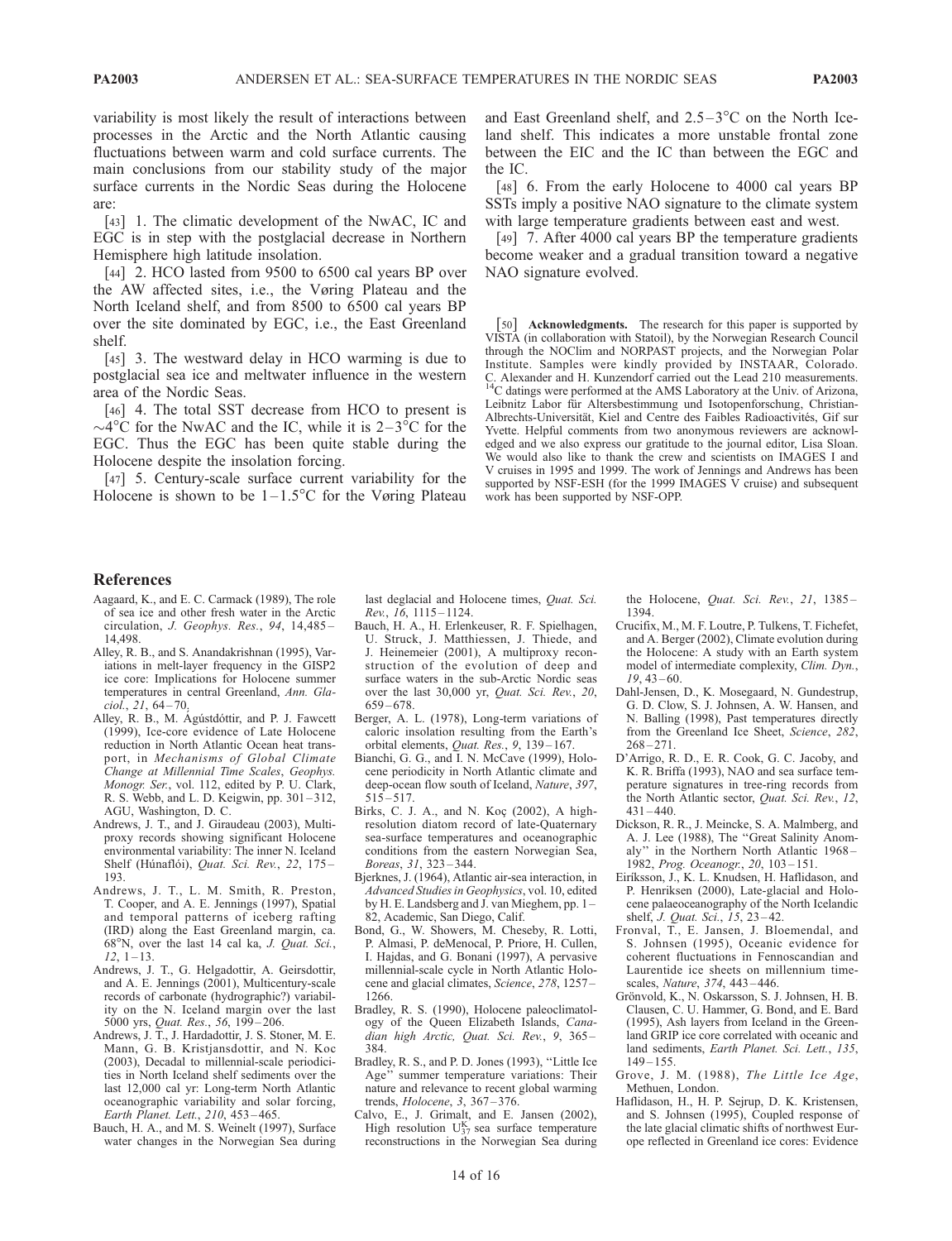variability is most likely the result of interactions between processes in the Arctic and the North Atlantic causing fluctuations between warm and cold surface currents. The main conclusions from our stability study of the major surface currents in the Nordic Seas during the Holocene are:

[43] 1. The climatic development of the NwAC, IC and EGC is in step with the postglacial decrease in Northern Hemisphere high latitude insolation.

[44] 2. HCO lasted from 9500 to 6500 cal years BP over the AW affected sites, i.e., the Vøring Plateau and the North Iceland shelf, and from 8500 to 6500 cal years BP over the site dominated by EGC, i.e., the East Greenland shelf.

[45] 3. The westward delay in HCO warming is due to postglacial sea ice and meltwater influence in the western area of the Nordic Seas.

[46] 4. The total SST decrease from HCO to present is  $\sim$ 4°C for the NwAC and the IC, while it is 2–3°C for the EGC. Thus the EGC has been quite stable during the Holocene despite the insolation forcing.

[47] 5. Century-scale surface current variability for the Holocene is shown to be  $1-1.5^{\circ}$ C for the Vøring Plateau and East Greenland shelf, and  $2.5-3$ °C on the North Iceland shelf. This indicates a more unstable frontal zone between the EIC and the IC than between the EGC and the IC.

[48] 6. From the early Holocene to 4000 cal years BP SSTs imply a positive NAO signature to the climate system with large temperature gradients between east and west.

[49] 7. After 4000 cal years BP the temperature gradients become weaker and a gradual transition toward a negative NAO signature evolved.

[50] **Acknowledgments.** The research for this paper is supported by VISTA (in collaboration with Statoil), by the Norwegian Research Council through the NOClim and NORPAST projects, and the Norwegian Polar Institute. Samples were kindly provided by INSTAAR, Colorado. C. Alexander and H. Kunzendorf carried out the Lead 210 measurements. 14C datings were performed at the AMS Laboratory at the Univ. of Arizona, Leibnitz Labor für Altersbestimmung und Isotopenforschung, Christian-Albrechts-Universität, Kiel and Centre des Faibles Radioactivités, Gif sur Yvette. Helpful comments from two anonymous reviewers are acknowledged and we also express our gratitude to the journal editor, Lisa Sloan. We would also like to thank the crew and scientists on IMAGES I and V cruises in 1995 and 1999. The work of Jennings and Andrews has been supported by NSF-ESH (for the 1999 IMAGES V cruise) and subsequent work has been supported by NSF-OPP.

#### References

- Aagaard, K., and E. C. Carmack (1989), The role of sea ice and other fresh water in the Arctic circulation, J. Geophys. Res., 94, 14,485 – 14,498.
- Alley, R. B., and S. Anandakrishnan (1995), Variations in melt-layer frequency in the GISP2 ice core: Implications for Holocene summer temperatures in central Greenland, Ann. Gla $ciol., 21, 64 - 70.$
- Alley, R. B., M. Agústdóttir, and P. J. Fawcett (1999), Ice-core evidence of Late Holocene reduction in North Atlantic Ocean heat transport, in Mechanisms of Global Climate Change at Millennial Time Scales, Geophys. Monogr. Ser., vol. 112, edited by P. U. Clark, R. S. Webb, and L. D. Keigwin, pp. 301 – 312, AGU, Washington, D. C.
- Andrews, J. T., and J. Giraudeau (2003), Multiproxy records showing significant Holocene environmental variability: The inner N. Iceland Shelf (Húnaflói), Quat. Sci. Rev., 22, 175-193.
- Andrews, J. T., L. M. Smith, R. Preston, T. Cooper, and A. E. Jennings (1997), Spatial and temporal patterns of iceberg rafting (IRD) along the East Greenland margin, ca.  $68^\circ$ N, over the last 14 cal ka, J. Quat. Sci.,  $12, 1 - 13.$
- Andrews, J. T., G. Helgadottir, A. Geirsdottir, and A. E. Jennings (2001), Multicentury-scale records of carbonate (hydrographic?) variability on the N. Iceland margin over the last 5000 yrs, Quat. Res., 56, 199-206.
- Andrews, J. T., J. Hardadottir, J. S. Stoner, M. E. Mann, G. B. Kristjansdottir, and N. Koc (2003), Decadal to millennial-scale periodicities in North Iceland shelf sediments over the last 12,000 cal yr: Long-term North Atlantic oceanographic variability and solar forcing, Earth Planet. Lett., 210, 453 – 465.
- Bauch, H. A., and M. S. Weinelt (1997), Surface water changes in the Norwegian Sea during

last deglacial and Holocene times, Quat. Sci. Rev., 16, 1115 – 1124.

- Bauch, H. A., H. Erlenkeuser, R. F. Spielhagen, U. Struck, J. Matthiessen, J. Thiede, and J. Heinemeier (2001), A multiproxy reconstruction of the evolution of deep and surface waters in the sub-Arctic Nordic seas over the last 30,000 yr, Quat. Sci. Rev., 20,  $659 - 678.$
- Berger, A. L. (1978), Long-term variations of caloric insolation resulting from the Earth's orbital elements, Quat. Res., 9, 139-167.
- Bianchi, G. G., and I. N. McCave (1999), Holocene periodicity in North Atlantic climate and deep-ocean flow south of Iceland, Nature, 397,  $515 - 517.$
- Birks, C. J. A., and N. Koc¸ (2002), A highresolution diatom record of late-Quaternary sea-surface temperatures and oceanographic conditions from the eastern Norwegian Sea, Boreas, 31, 323 – 344.
- Bjerknes, J. (1964), Atlantic air-sea interaction, in Advanced Studies in Geophysics, vol. 10, edited by H. E. Landsberg and J. van Mieghem, pp. 1 – 82, Academic, San Diego, Calif.
- Bond, G., W. Showers, M. Cheseby, R. Lotti, P. Almasi, P. deMenocal, P. Priore, H. Cullen, I. Hajdas, and G. Bonani (1997), A pervasive millennial-scale cycle in North Atlantic Holocene and glacial climates, Science, 278, 1257 – 1266.
- Bradley, R. S. (1990), Holocene paleoclimatology of the Queen Elizabeth Islands, Canadian high Arctic, Quat. Sci. Rev., 9, 365-384.
- Bradley, R. S., and P. D. Jones (1993), ''Little Ice Age'' summer temperature variations: Their nature and relevance to recent global warming trends, Holocene, 3, 367 – 376.
- Calvo, E., J. Grimalt, and E. Jansen (2002), High resolution  $U_{37}^{K'}$  sea surface temperature reconstructions in the Norwegian Sea during

the Holocene, Quat. Sci. Rev., 21, 1385-1394.

- Crucifix, M., M. F. Loutre, P. Tulkens, T. Fichefet, and A. Berger (2002), Climate evolution during the Holocene: A study with an Earth system model of intermediate complexity, Clim. Dyn.,  $19, 43 - 60.$
- Dahl-Jensen, D., K. Mosegaard, N. Gundestrup, G. D. Clow, S. J. Johnsen, A. W. Hansen, and N. Balling (1998), Past temperatures directly from the Greenland Ice Sheet, Science, 282,  $268 - 271.$
- D'Arrigo, R. D., E. R. Cook, G. C. Jacoby, and K. R. Briffa (1993), NAO and sea surface temperature signatures in tree-ring records from the North Atlantic sector, Quat. Sci. Rev., 12,  $431 - 440.$
- Dickson, R. R., J. Meincke, S. A. Malmberg, and A. J. Lee (1988), The ''Great Salinity Anomaly'' in the Northern North Atlantic 1968 – 1982, Prog. Oceanogr., 20, 103 – 151.
- Eirı´ksson, J., K. L. Knudsen, H. Haflidason, and P. Henriksen (2000), Late-glacial and Holocene palaeoceanography of the North Icelandic shelf, *J. Quat. Sci.*, 15, 23-42.
- Fronval, T., E. Jansen, J. Bloemendal, and S. Johnsen (1995), Oceanic evidence for coherent fluctuations in Fennoscandian and Laurentide ice sheets on millennium timescales, Nature, 374, 443 – 446.
- Grönvold, K., N. Oskarsson, S. J. Johnsen, H. B. Clausen, C. U. Hammer, G. Bond, and E. Bard (1995), Ash layers from Iceland in the Greenland GRIP ice core correlated with oceanic and land sediments, Earth Planet. Sci. Lett., 135, 149 – 155.
- Grove, J. M. (1988), The Little Ice Age, Methuen, London.
- Haflidason, H., H. P. Sejrup, D. K. Kristensen, and S. Johnsen (1995), Coupled response of the late glacial climatic shifts of northwest Europe reflected in Greenland ice cores: Evidence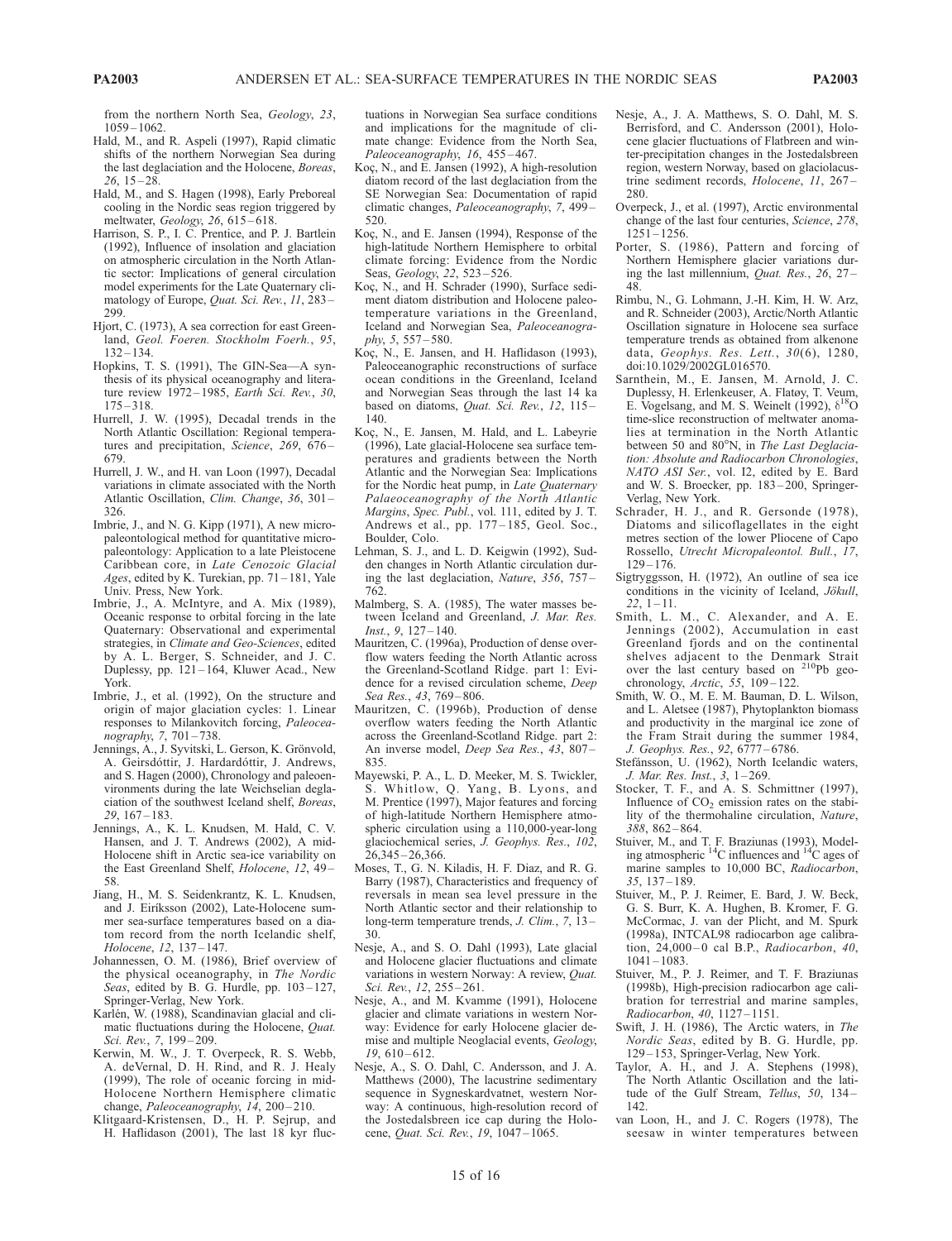from the northern North Sea, Geology, 23, 1059 – 1062.

- Hald, M., and R. Aspeli (1997), Rapid climatic shifts of the northern Norwegian Sea during the last deglaciation and the Holocene, Boreas,  $26, 15 - 28.$
- Hald, M., and S. Hagen (1998), Early Preboreal cooling in the Nordic seas region triggered by meltwater, Geology, 26, 615 – 618.
- Harrison, S. P., I. C. Prentice, and P. J. Bartlein (1992), Influence of insolation and glaciation on atmospheric circulation in the North Atlantic sector: Implications of general circulation model experiments for the Late Quaternary climatology of Europe, Quat. Sci. Rev., 11, 283-299.
- Hjort, C. (1973), A sea correction for east Greenland, Geol. Foeren. Stockholm Foerh., 95,  $132 - 134$
- Hopkins, T. S. (1991), The GIN-Sea—A synthesis of its physical oceanography and literature review 1972–1985, Earth Sci. Rev., 30,  $175 - 318.$
- Hurrell, J. W. (1995), Decadal trends in the North Atlantic Oscillation: Regional temperatures and precipitation, Science, 269, 676-679.
- Hurrell, J. W., and H. van Loon (1997), Decadal variations in climate associated with the North Atlantic Oscillation, Clim. Change, 36, 301 – 326.
- Imbrie, J., and N. G. Kipp (1971), A new micropaleontological method for quantitative micropaleontology: Application to a late Pleistocene Caribbean core, in Late Cenozoic Glacial Ages, edited by K. Turekian, pp. 71-181, Yale Univ. Press, New York.
- Imbrie, J., A. McIntyre, and A. Mix (1989), Oceanic response to orbital forcing in the late Quaternary: Observational and experimental strategies, in Climate and Geo-Sciences, edited by A. L. Berger, S. Schneider, and J. C. Duplessy, pp. 121 – 164, Kluwer Acad., New York.
- Imbrie, J., et al. (1992), On the structure and origin of major glaciation cycles: 1. Linear responses to Milankovitch forcing, Paleoceanography, 7, 701 – 738.
- Jennings, A., J. Syvitski, L. Gerson, K. Grönvold, A. Geirsdóttir, J. Hardardóttir, J. Andrews, and S. Hagen (2000), Chronology and paleoenvironments during the late Weichselian deglaciation of the southwest Iceland shelf, Boreas,  $29, 167 - 183.$
- Jennings, A., K. L. Knudsen, M. Hald, C. V. Hansen, and J. T. Andrews (2002), A mid-Holocene shift in Arctic sea-ice variability on the East Greenland Shelf, Holocene, 12, 49-58.
- Jiang, H., M. S. Seidenkrantz, K. L. Knudsen, and J. Eiríksson (2002), Late-Holocene summer sea-surface temperatures based on a diatom record from the north Icelandic shelf, Holocene, 12, 137-147.
- Johannessen, O. M. (1986), Brief overview of the physical oceanography, in The Nordic Seas, edited by B. G. Hurdle, pp. 103-127, Springer-Verlag, New York.
- Karlén, W. (1988), Scandinavian glacial and climatic fluctuations during the Holocene, Quat. Sci. Rev., 7, 199-209.
- Kerwin, M. W., J. T. Overpeck, R. S. Webb, A. deVernal, D. H. Rind, and R. J. Healy (1999), The role of oceanic forcing in mid-Holocene Northern Hemisphere climatic change, Paleoceanography,  $14$ , 200-210.
- Klitgaard-Kristensen, D., H. P. Sejrup, and H. Haflidason (2001), The last 18 kyr fluc-

tuations in Norwegian Sea surface conditions and implications for the magnitude of climate change: Evidence from the North Sea, Paleoceanography, 16, 455-467.

- Koç, N., and E. Jansen (1992), A high-resolution diatom record of the last deglaciation from the SE Norwegian Sea: Documentation of rapid climatic changes, Paleoceanography, 7, 499 – 520.
- Koç, N., and E. Jansen (1994), Response of the high-latitude Northern Hemisphere to orbital climate forcing: Evidence from the Nordic Seas, Geology, 22, 523-526.
- Koç, N., and H. Schrader (1990), Surface sediment diatom distribution and Holocene paleotemperature variations in the Greenland, Iceland and Norwegian Sea, Paleoceanography, 5, 557 – 580.
- Koc¸, N., E. Jansen, and H. Haflidason (1993), Paleoceanographic reconstructions of surface ocean conditions in the Greenland, Iceland and Norwegian Seas through the last 14 ka based on diatoms, Quat. Sci. Rev., 12, 115-140.
- Koç, N., E. Jansen, M. Hald, and L. Labeyrie (1996), Late glacial-Holocene sea surface temperatures and gradients between the North Atlantic and the Norwegian Sea: Implications for the Nordic heat pump, in Late Quaternary Palaeoceanography of the North Atlantic Margins, Spec. Publ., vol. 111, edited by J. T. Andrews et al., pp. 177-185, Geol. Soc., Boulder, Colo.
- Lehman, S. J., and L. D. Keigwin (1992), Sudden changes in North Atlantic circulation during the last deglaciation, Nature, 356, 757 – 762.
- Malmberg, S. A. (1985), The water masses between Iceland and Greenland, J. Mar. Res. Inst., 9, 127 – 140.
- Mauritzen, C. (1996a), Production of dense overflow waters feeding the North Atlantic across the Greenland-Scotland Ridge. part 1: Evidence for a revised circulation scheme, Deep Sea Res., 43, 769 – 806.
- Mauritzen, C. (1996b), Production of dense overflow waters feeding the North Atlantic across the Greenland-Scotland Ridge. part 2: An inverse model, Deep Sea Res., 43, 807 – 835.
- Mayewski, P. A., L. D. Meeker, M. S. Twickler, S. Whitlow, Q. Yang, B. Lyons, and M. Prentice (1997), Major features and forcing of high-latitude Northern Hemisphere atmospheric circulation using a 110,000-year-long glaciochemical series, J. Geophys. Res., 102, 26,345 – 26,366.
- Moses, T., G. N. Kiladis, H. F. Diaz, and R. G. Barry (1987), Characteristics and frequency of reversals in mean sea level pressure in the North Atlantic sector and their relationship to long-term temperature trends, J. Clim., 7, 13-30.
- Nesje, A., and S. O. Dahl (1993), Late glacial and Holocene glacier fluctuations and climate variations in western Norway: A review, Quat. Sci. Rev., 12, 255-261.
- Nesje, A., and M. Kvamme (1991), Holocene glacier and climate variations in western Norway: Evidence for early Holocene glacier demise and multiple Neoglacial events, Geology,  $19.610 - 612.$
- Nesje, A., S. O. Dahl, C. Andersson, and J. A. Matthews (2000), The lacustrine sedimentary sequence in Sygneskardvatnet, western Norway: A continuous, high-resolution record of the Jostedalsbreen ice cap during the Holocene, *Quat. Sci. Rev.*, 19, 1047-1065.
- Nesje, A., J. A. Matthews, S. O. Dahl, M. S. Berrisford, and C. Andersson (2001), Holocene glacier fluctuations of Flatbreen and winter-precipitation changes in the Jostedalsbreen region, western Norway, based on glaciolacustrine sediment records, Holocene, 11, 267-280
- Overpeck, J., et al. (1997), Arctic environmental change of the last four centuries, Science, 278,  $1251 - 1256$ .
- Porter, S. (1986), Pattern and forcing of Northern Hemisphere glacier variations during the last millennium, Quat. Res., 26, 27-48.
- Rimbu, N., G. Lohmann, J.-H. Kim, H. W. Arz, and R. Schneider (2003), Arctic/North Atlantic Oscillation signature in Holocene sea surface temperature trends as obtained from alkenone data, Geophys. Res. Lett., 30(6), 1280, doi:10.1029/2002GL016570.
- Sarnthein, M., E. Jansen, M. Arnold, J. C. Duplessy, H. Erlenkeuser, A. Flatøy, T. Veum, E. Vogelsang, and M. S. Weinelt (1992),  $\delta^{18}$ O time-slice reconstruction of meltwater anomalies at termination in the North Atlantic between 50 and 80°N, in The Last Deglaciation: Absolute and Radiocarbon Chronologies, NATO ASI Ser., vol. I2, edited by E. Bard and W. S. Broecker, pp. 183 – 200, Springer-Verlag, New York.
- Schrader, H. J., and R. Gersonde (1978), Diatoms and silicoflagellates in the eight metres section of the lower Pliocene of Capo Rossello, Utrecht Micropaleontol. Bull., 17,  $129 - 176.$
- Sigtryggsson, H. (1972), An outline of sea ice conditions in the vicinity of Iceland, Jökull,  $22, 1 - 11.$
- Smith, L. M., C. Alexander, and A. E. Jennings (2002), Accumulation in east Greenland fjords and on the continental shelves adjacent to the Denmark Strait<br>over the last century based on <sup>210</sup>Pb geoover the last century based on chronology, Arctic,  $55$ ,  $109 - 122$ .
- Smith, W. O., M. E. M. Bauman, D. L. Wilson, and L. Aletsee (1987), Phytoplankton biomass and productivity in the marginal ice zone of the Fram Strait during the summer 1984, J. Geophys. Res., 92, 6777 – 6786.
- Stefánsson, U. (1962), North Icelandic waters, J. Mar. Res. Inst., 3, 1-269.
- Stocker, T. F., and A. S. Schmittner (1997), Influence of  $CO<sub>2</sub>$  emission rates on the stability of the thermohaline circulation, Nature, 388, 862 – 864.
- Stuiver, M., and T. F. Braziunas (1993), Modeling atmospheric  $14^{\circ}$ C influences and  $14^{\circ}$ C ages of marine samples to 10,000 BC, Radiocarbon, 35, 137 – 189.
- Stuiver, M., P. J. Reimer, E. Bard, J. W. Beck, G. S. Burr, K. A. Hughen, B. Kromer, F. G. McCormac, J. van der Plicht, and M. Spurk (1998a), INTCAL98 radiocarbon age calibration,  $24,000 - 0$  cal B.P., Radiocarbon, 40,  $1041 - 1083.$
- Stuiver, M., P. J. Reimer, and T. F. Braziunas (1998b), High-precision radiocarbon age calibration for terrestrial and marine samples, Radiocarbon, 40, 1127 – 1151.
- Swift, J. H. (1986), The Arctic waters, in The Nordic Seas, edited by B. G. Hurdle, pp. 129 – 153, Springer-Verlag, New York.
- Taylor, A. H., and J. A. Stephens (1998), The North Atlantic Oscillation and the latitude of the Gulf Stream, Tellus, 50, 134-142.
- van Loon, H., and J. C. Rogers (1978), The seesaw in winter temperatures between